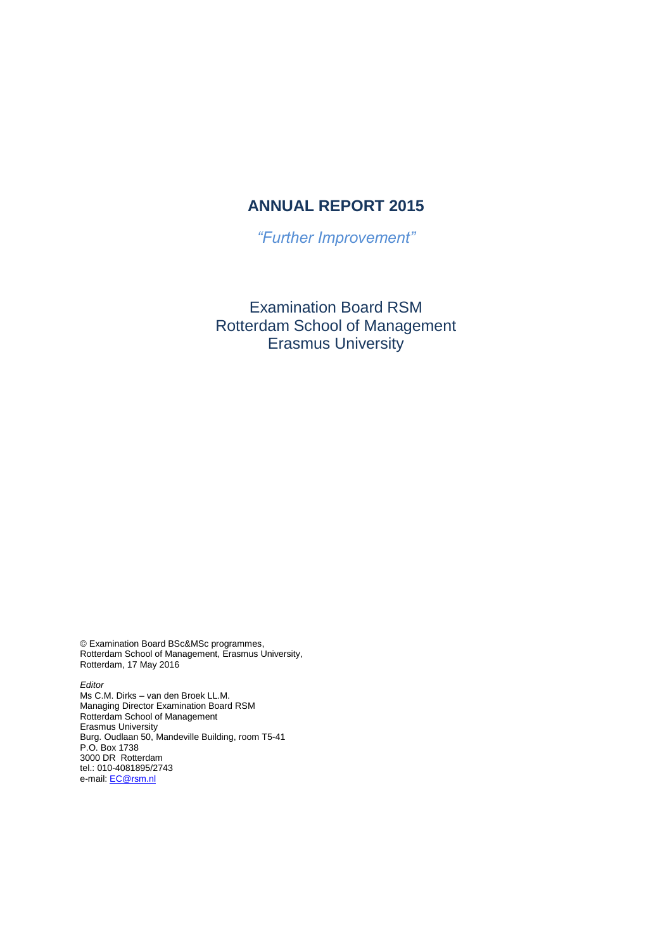# **ANNUAL REPORT 2015**

*"Further Improvement"*

Examination Board RSM Rotterdam School of Management Erasmus University

© Examination Board BSc&MSc programmes, Rotterdam School of Management, Erasmus University, Rotterdam, 17 May 2016

*Editor* Ms C.M. Dirks – van den Broek LL.M. Managing Director Examination Board RSM Rotterdam School of Management Erasmus University Burg. Oudlaan 50, Mandeville Building, room T5-41 P.O. Box 1738 3000 DR Rotterdam tel.: 010-4081895/2743 e-mail: **EC@rsm.nl**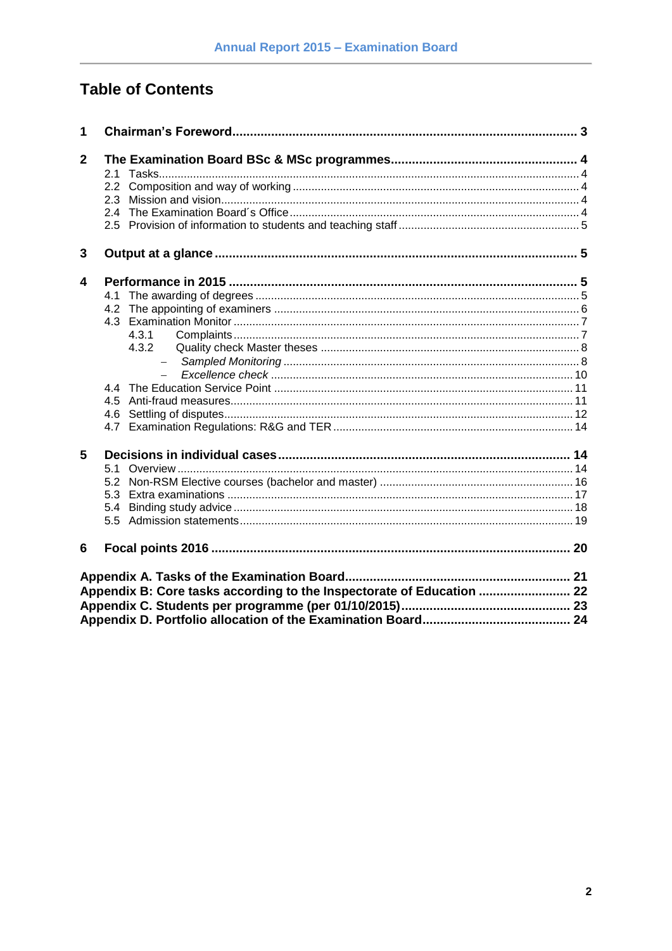# **Table of Contents**

| 1              |                                                                       |  |
|----------------|-----------------------------------------------------------------------|--|
| $\overline{2}$ |                                                                       |  |
|                |                                                                       |  |
|                | 2.2                                                                   |  |
|                | 2.3                                                                   |  |
|                |                                                                       |  |
|                |                                                                       |  |
| 3              |                                                                       |  |
| 4              |                                                                       |  |
|                | 4.1                                                                   |  |
|                |                                                                       |  |
|                |                                                                       |  |
|                | 4.3.1                                                                 |  |
|                | 4.3.2                                                                 |  |
|                | $-$                                                                   |  |
|                |                                                                       |  |
|                |                                                                       |  |
|                |                                                                       |  |
|                | 4.6                                                                   |  |
|                |                                                                       |  |
| 5              |                                                                       |  |
|                | 5.1                                                                   |  |
|                | 5.2                                                                   |  |
|                |                                                                       |  |
|                | 5.4                                                                   |  |
|                |                                                                       |  |
| 6              |                                                                       |  |
|                |                                                                       |  |
|                | Appendix B: Core tasks according to the Inspectorate of Education  22 |  |
|                |                                                                       |  |
|                |                                                                       |  |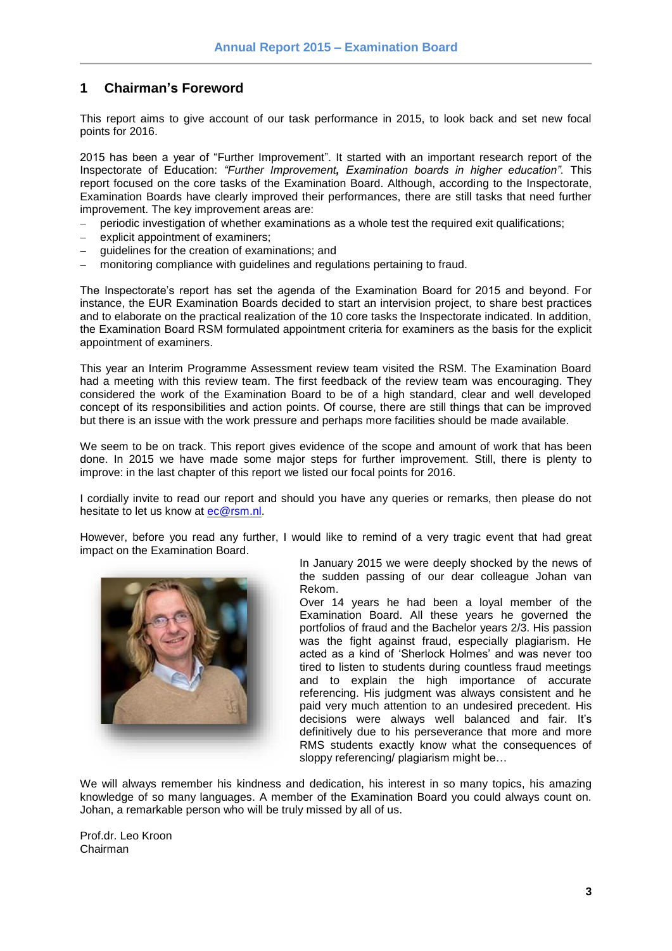### <span id="page-2-0"></span>**1 Chairman's Foreword**

This report aims to give account of our task performance in 2015, to look back and set new focal points for 2016.

2015 has been a year of "Further Improvement". It started with an important research report of the Inspectorate of Education: *"Further Improvement, Examination boards in higher education".* This report focused on the core tasks of the Examination Board. Although, according to the Inspectorate, Examination Boards have clearly improved their performances, there are still tasks that need further improvement. The key improvement areas are:

- periodic investigation of whether examinations as a whole test the required exit qualifications;
- explicit appointment of examiners;
- guidelines for the creation of examinations; and
- monitoring compliance with guidelines and regulations pertaining to fraud.

The Inspectorate's report has set the agenda of the Examination Board for 2015 and beyond. For instance, the EUR Examination Boards decided to start an intervision project, to share best practices and to elaborate on the practical realization of the 10 core tasks the Inspectorate indicated. In addition, the Examination Board RSM formulated appointment criteria for examiners as the basis for the explicit appointment of examiners.

This year an Interim Programme Assessment review team visited the RSM. The Examination Board had a meeting with this review team. The first feedback of the review team was encouraging. They considered the work of the Examination Board to be of a high standard, clear and well developed concept of its responsibilities and action points. Of course, there are still things that can be improved but there is an issue with the work pressure and perhaps more facilities should be made available.

We seem to be on track. This report gives evidence of the scope and amount of work that has been done. In 2015 we have made some major steps for further improvement. Still, there is plenty to improve: in the last chapter of this report we listed our focal points for 2016.

I cordially invite to read our report and should you have any queries or remarks, then please do not hesitate to let us know at [ec@rsm.nl.](mailto:ec@rsm.nl)

However, before you read any further, I would like to remind of a very tragic event that had great impact on the Examination Board.



In January 2015 we were deeply shocked by the news of the sudden passing of our dear colleague Johan van Rekom.

Over 14 years he had been a loyal member of the Examination Board. All these years he governed the portfolios of fraud and the Bachelor years 2/3. His passion was the fight against fraud, especially plagiarism. He acted as a kind of 'Sherlock Holmes' and was never too tired to listen to students during countless fraud meetings and to explain the high importance of accurate referencing. His judgment was always consistent and he paid very much attention to an undesired precedent. His decisions were always well balanced and fair. It's definitively due to his perseverance that more and more RMS students exactly know what the consequences of sloppy referencing/ plagiarism might be…

We will always remember his kindness and dedication, his interest in so many topics, his amazing knowledge of so many languages. A member of the Examination Board you could always count on. Johan, a remarkable person who will be truly missed by all of us.

Prof.dr. Leo Kroon Chairman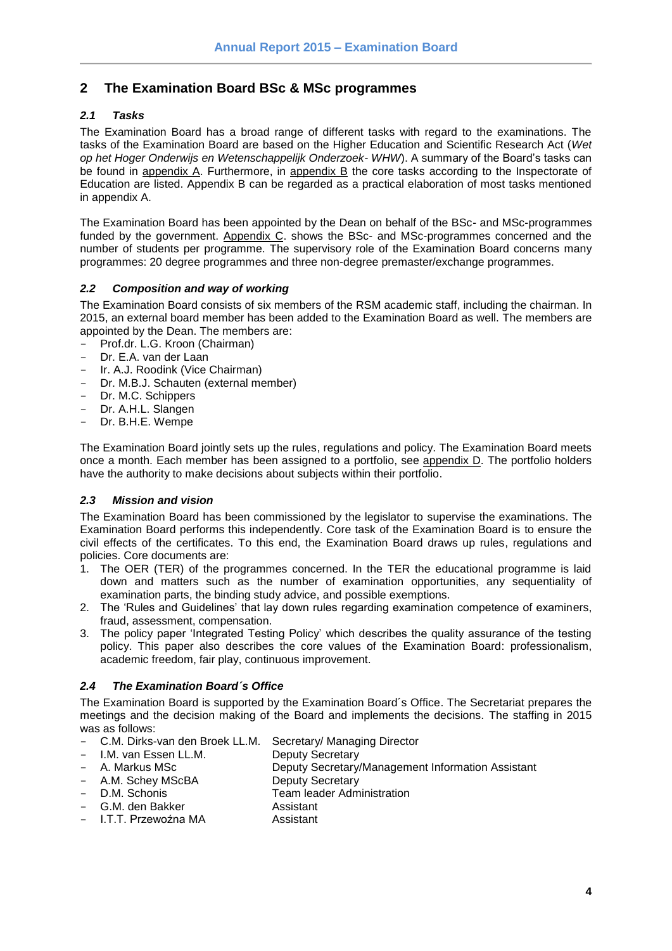### <span id="page-3-0"></span>**2 The Examination Board BSc & MSc programmes**

### <span id="page-3-1"></span>*2.1 Tasks*

The Examination Board has a broad range of different tasks with regard to the examinations. The tasks of the Examination Board are based on the Higher Education and Scientific Research Act (*Wet op het Hoger Onderwijs en Wetenschappelijk Onderzoek- WHW*). A summary of the Board's tasks can be found in appendix A. Furthermore, in appendix B the core tasks according to the Inspectorate of Education are listed. Appendix B can be regarded as a practical elaboration of most tasks mentioned in appendix A.

The Examination Board has been appointed by the Dean on behalf of the BSc- and MSc-programmes funded by the government. Appendix C. shows the BSc- and MSc-programmes concerned and the number of students per programme. The supervisory role of the Examination Board concerns many programmes: 20 degree programmes and three non-degree premaster/exchange programmes.

### <span id="page-3-2"></span>*2.2 Composition and way of working*

The Examination Board consists of six members of the RSM academic staff, including the chairman. In 2015, an external board member has been added to the Examination Board as well. The members are appointed by the Dean. The members are:

- Prof.dr. L.G. Kroon (Chairman)
- Dr. E.A. van der Laan
- Ir. A.J. Roodink (Vice Chairman)
- Dr. M.B.J. Schauten (external member)
- Dr. M.C. Schippers
- Dr. A.H.L. Slangen
- Dr. B.H.E. Wempe

The Examination Board jointly sets up the rules, regulations and policy. The Examination Board meets once a month. Each member has been assigned to a portfolio, see appendix D. The portfolio holders have the authority to make decisions about subjects within their portfolio.

### <span id="page-3-3"></span>*2.3 Mission and vision*

The Examination Board has been commissioned by the legislator to supervise the examinations. The Examination Board performs this independently. Core task of the Examination Board is to ensure the civil effects of the certificates. To this end, the Examination Board draws up rules, regulations and policies. Core documents are:

- 1. The OER (TER) of the programmes concerned. In the TER the educational programme is laid down and matters such as the number of examination opportunities, any sequentiality of examination parts, the binding study advice, and possible exemptions.
- 2. The 'Rules and Guidelines' that lay down rules regarding examination competence of examiners, fraud, assessment, compensation.
- 3. The policy paper 'Integrated Testing Policy' which describes the quality assurance of the testing policy. This paper also describes the core values of the Examination Board: professionalism, academic freedom, fair play, continuous improvement.

### <span id="page-3-4"></span>*2.4 The Examination Board´s Office*

The Examination Board is supported by the Examination Board´s Office. The Secretariat prepares the meetings and the decision making of the Board and implements the decisions. The staffing in 2015 was as follows:

- C.M. Dirks-van den Broek LL.M. Secretary/ Managing Director
- I.M. van Essen LL.M. Deputy Secretary
- A. Markus MSc Deputy Secretary/Management Information Assistant
- 
- A.M. Schey MScBA Deputy Secretary<br>D.M. Schonis D.M. Team leader Adm Team leader Administration
- G.M. den Bakker Assistant
- I.T.T. Przewoźna MA **Assistant**

**4**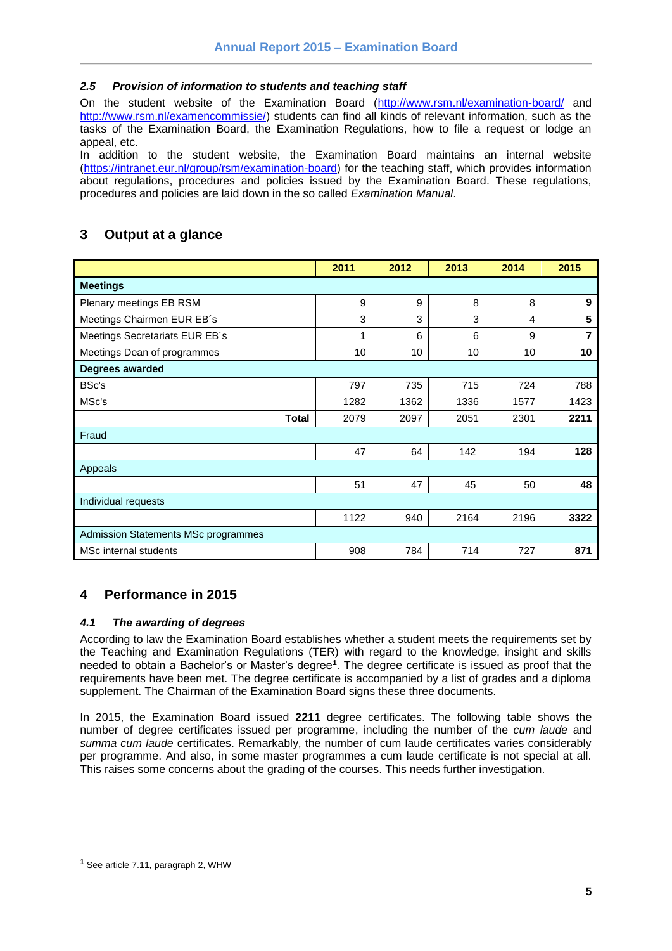### <span id="page-4-0"></span>*2.5 Provision of information to students and teaching staff*

On the student website of the Examination Board [\(http://www.rsm.nl/examination-board/](http://www.rsm.nl/examination-board/) and [http://www.rsm.nl/examencommissie/\)](http://www.rsm.nl/examencommissie/) students can find all kinds of relevant information, such as the tasks of the Examination Board, the Examination Regulations, how to file a request or lodge an appeal, etc.

In addition to the student website, the Examination Board maintains an internal website [\(https://intranet.eur.nl/group/rsm/examination-board\)](https://intranet.eur.nl/group/rsm/examination-board) for the teaching staff, which provides information about regulations, procedures and policies issued by the Examination Board. These regulations, procedures and policies are laid down in the so called *Examination Manual*.

### <span id="page-4-1"></span>**3 Output at a glance**

|                                            | 2011 | 2012 | 2013            | 2014 | 2015 |
|--------------------------------------------|------|------|-----------------|------|------|
| <b>Meetings</b>                            |      |      |                 |      |      |
| Plenary meetings EB RSM                    | 9    | 9    | 8               | 8    | 9    |
| Meetings Chairmen EUR EB's                 | 3    | 3    | 3               | 4    | 5    |
| Meetings Secretariats EUR EB's             | 1    | 6    | 6               | 9    | 7    |
| Meetings Dean of programmes                | 10   | 10   | 10 <sup>1</sup> | 10   | 10   |
| Degrees awarded                            |      |      |                 |      |      |
| BSc's                                      | 797  | 735  | 715             | 724  | 788  |
| MSc's                                      | 1282 | 1362 | 1336            | 1577 | 1423 |
| <b>Total</b>                               | 2079 | 2097 | 2051            | 2301 | 2211 |
| Fraud                                      |      |      |                 |      |      |
|                                            | 47   | 64   | 142             | 194  | 128  |
| Appeals                                    |      |      |                 |      |      |
|                                            | 51   | 47   | 45              | 50   | 48   |
| Individual requests                        |      |      |                 |      |      |
|                                            | 1122 | 940  | 2164            | 2196 | 3322 |
| <b>Admission Statements MSc programmes</b> |      |      |                 |      |      |
| MSc internal students                      | 908  | 784  | 714             | 727  | 871  |

### <span id="page-4-2"></span>**4 Performance in 2015**

### <span id="page-4-3"></span>*4.1 The awarding of degrees*

According to law the Examination Board establishes whether a student meets the requirements set by the Teaching and Examination Regulations (TER) with regard to the knowledge, insight and skills needed to obtain a Bachelor's or Master's degree**<sup>1</sup>** . The degree certificate is issued as proof that the requirements have been met. The degree certificate is accompanied by a list of grades and a diploma supplement. The Chairman of the Examination Board signs these three documents.

In 2015, the Examination Board issued **2211** degree certificates. The following table shows the number of degree certificates issued per programme, including the number of the *cum laude* and *summa cum laude* certificates. Remarkably, the number of cum laude certificates varies considerably per programme. And also, in some master programmes a cum laude certificate is not special at all. This raises some concerns about the grading of the courses. This needs further investigation.

l

**<sup>1</sup>** See article 7.11, paragraph 2, WHW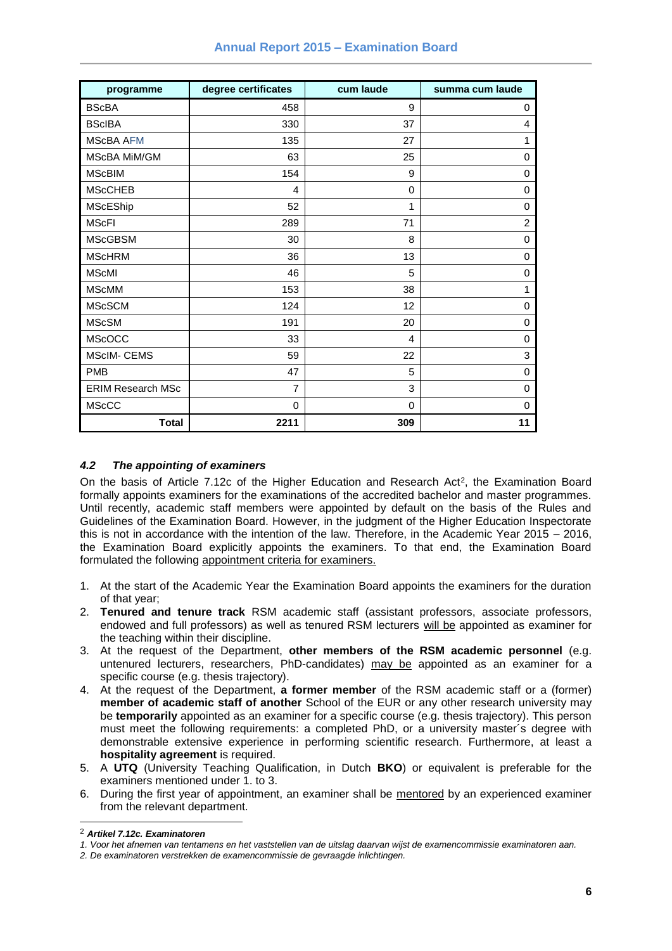| programme                | degree certificates | cum laude | summa cum laude |
|--------------------------|---------------------|-----------|-----------------|
| <b>BScBA</b>             | 458                 | 9         | 0               |
| <b>BScIBA</b>            | 330                 | 37        | 4               |
| <b>MScBA AFM</b>         | 135                 | 27        | 1               |
| MScBA MiM/GM             | 63                  | 25        | 0               |
| <b>MScBIM</b>            | 154                 | 9         | 0               |
| <b>MScCHEB</b>           | 4                   | 0         | 0               |
| <b>MScEShip</b>          | 52                  | 1         | 0               |
| <b>MScFI</b>             | 289                 | 71        | $\overline{2}$  |
| <b>MScGBSM</b>           | 30                  | 8         | 0               |
| <b>MScHRM</b>            | 36                  | 13        | 0               |
| <b>MScMI</b>             | 46                  | 5         | 0               |
| <b>MScMM</b>             | 153                 | 38        | 1               |
| <b>MScSCM</b>            | 124                 | 12        | 0               |
| <b>MScSM</b>             | 191                 | 20        | 0               |
| <b>MScOCC</b>            | 33                  | 4         | 0               |
| <b>MScIM- CEMS</b>       | 59                  | 22        | 3               |
| <b>PMB</b>               | 47                  | 5         | 0               |
| <b>ERIM Research MSc</b> | $\overline{7}$      | 3         | $\Omega$        |
| <b>MScCC</b>             | $\mathbf 0$         | 0         | 0               |
| <b>Total</b>             | 2211                | 309       | 11              |

### <span id="page-5-0"></span>*4.2 The appointing of examiners*

On the basis of Article 7.12c of the Higher Education and Research Act<sup>2</sup>, the Examination Board formally appoints examiners for the examinations of the accredited bachelor and master programmes. Until recently, academic staff members were appointed by default on the basis of the Rules and Guidelines of the Examination Board. However, in the judgment of the Higher Education Inspectorate this is not in accordance with the intention of the law. Therefore, in the Academic Year 2015 – 2016, the Examination Board explicitly appoints the examiners. To that end, the Examination Board formulated the following appointment criteria for examiners.

- 1. At the start of the Academic Year the Examination Board appoints the examiners for the duration of that year;
- 2. **Tenured and tenure track** RSM academic staff (assistant professors, associate professors, endowed and full professors) as well as tenured RSM lecturers will be appointed as examiner for the teaching within their discipline.
- 3. At the request of the Department, **other members of the RSM academic personnel** (e.g. untenured lecturers, researchers, PhD-candidates) may be appointed as an examiner for a specific course (e.g. thesis trajectory).
- 4. At the request of the Department, **a former member** of the RSM academic staff or a (former) **member of academic staff of another** School of the EUR or any other research university may be **temporarily** appointed as an examiner for a specific course (e.g. thesis trajectory). This person must meet the following requirements: a completed PhD, or a university master´s degree with demonstrable extensive experience in performing scientific research. Furthermore, at least a **hospitality agreement** is required.
- 5. A **UTQ** (University Teaching Qualification, in Dutch **BKO**) or equivalent is preferable for the examiners mentioned under 1. to 3.
- 6. During the first year of appointment, an examiner shall be mentored by an experienced examiner from the relevant department.

l

<sup>2</sup> *Artikel 7.12c. Examinatoren* 

*<sup>1.</sup> Voor het afnemen van tentamens en het vaststellen van de uitslag daarvan wijst de examencommissie examinatoren aan.* 

*<sup>2.</sup> De examinatoren verstrekken de examencommissie de gevraagde inlichtingen.*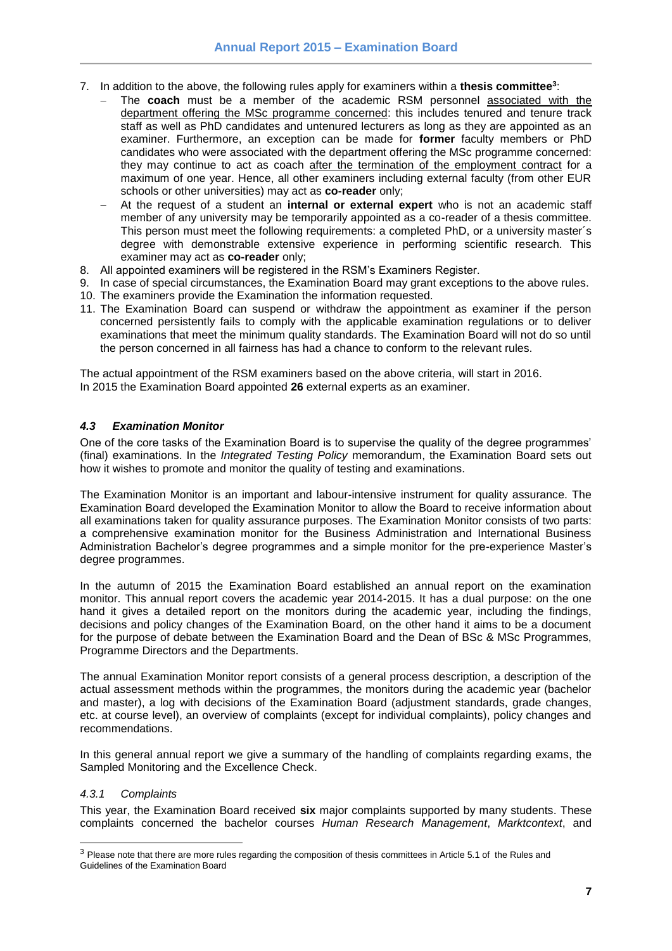- 7. In addition to the above, the following rules apply for examiners within a **thesis committee<sup>3</sup>** :
	- The **coach** must be a member of the academic RSM personnel associated with the department offering the MSc programme concerned: this includes tenured and tenure track staff as well as PhD candidates and untenured lecturers as long as they are appointed as an examiner. Furthermore, an exception can be made for **former** faculty members or PhD candidates who were associated with the department offering the MSc programme concerned: they may continue to act as coach after the termination of the employment contract for a maximum of one year. Hence, all other examiners including external faculty (from other EUR schools or other universities) may act as **co-reader** only;
	- At the request of a student an **internal or external expert** who is not an academic staff member of any university may be temporarily appointed as a co-reader of a thesis committee. This person must meet the following requirements: a completed PhD, or a university master´s degree with demonstrable extensive experience in performing scientific research. This examiner may act as **co-reader** only;
- 8. All appointed examiners will be registered in the RSM's Examiners Register.
- 9. In case of special circumstances, the Examination Board may grant exceptions to the above rules.
- 10. The examiners provide the Examination the information requested.
- 11. The Examination Board can suspend or withdraw the appointment as examiner if the person concerned persistently fails to comply with the applicable examination regulations or to deliver examinations that meet the minimum quality standards. The Examination Board will not do so until the person concerned in all fairness has had a chance to conform to the relevant rules.

The actual appointment of the RSM examiners based on the above criteria, will start in 2016. In 2015 the Examination Board appointed **26** external experts as an examiner.

### <span id="page-6-0"></span>*4.3 Examination Monitor*

One of the core tasks of the Examination Board is to supervise the quality of the degree programmes' (final) examinations. In the *Integrated Testing Policy* memorandum, the Examination Board sets out how it wishes to promote and monitor the quality of testing and examinations.

The Examination Monitor is an important and labour-intensive instrument for quality assurance. The Examination Board developed the Examination Monitor to allow the Board to receive information about all examinations taken for quality assurance purposes. The Examination Monitor consists of two parts: a comprehensive examination monitor for the Business Administration and International Business Administration Bachelor's degree programmes and a simple monitor for the pre-experience Master's degree programmes.

In the autumn of 2015 the Examination Board established an annual report on the examination monitor. This annual report covers the academic year 2014-2015. It has a dual purpose: on the one hand it gives a detailed report on the monitors during the academic year, including the findings, decisions and policy changes of the Examination Board, on the other hand it aims to be a document for the purpose of debate between the Examination Board and the Dean of BSc & MSc Programmes, Programme Directors and the Departments.

The annual Examination Monitor report consists of a general process description, a description of the actual assessment methods within the programmes, the monitors during the academic year (bachelor and master), a log with decisions of the Examination Board (adjustment standards, grade changes, etc. at course level), an overview of complaints (except for individual complaints), policy changes and recommendations.

In this general annual report we give a summary of the handling of complaints regarding exams, the Sampled Monitoring and the Excellence Check.

#### <span id="page-6-1"></span>*4.3.1 Complaints*

l

This year, the Examination Board received **six** major complaints supported by many students. These complaints concerned the bachelor courses *Human Research Management*, *Marktcontext*, and

<sup>&</sup>lt;sup>3</sup> Please note that there are more rules regarding the composition of thesis committees in Article 5.1 of the Rules and Guidelines of the Examination Board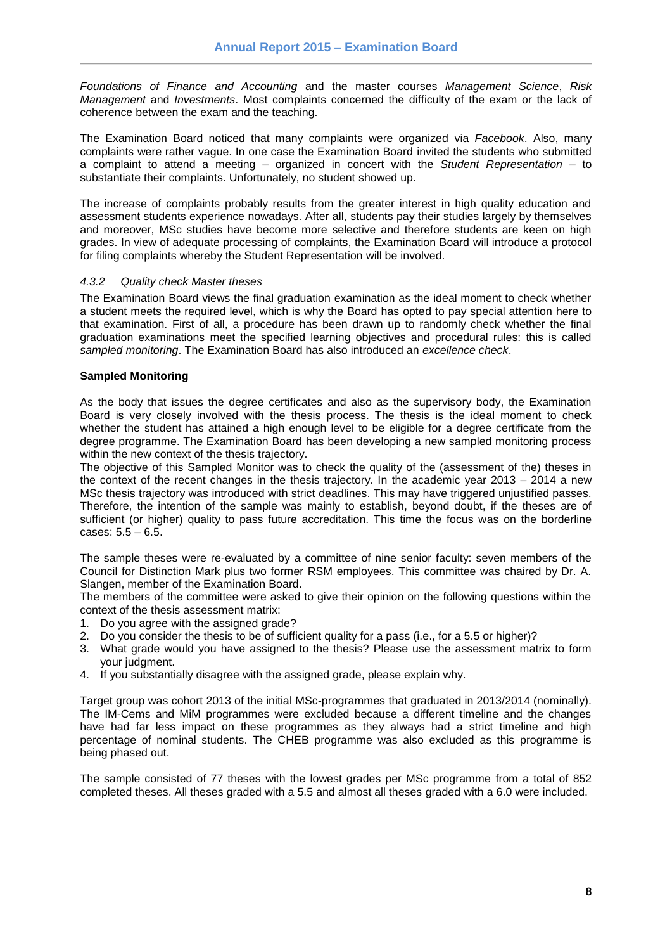*Foundations of Finance and Accounting* and the master courses *Management Science*, *Risk Management* and *Investments*. Most complaints concerned the difficulty of the exam or the lack of coherence between the exam and the teaching.

The Examination Board noticed that many complaints were organized via *Facebook*. Also, many complaints were rather vague. In one case the Examination Board invited the students who submitted a complaint to attend a meeting – organized in concert with the *Student Representation* – to substantiate their complaints. Unfortunately, no student showed up.

The increase of complaints probably results from the greater interest in high quality education and assessment students experience nowadays. After all, students pay their studies largely by themselves and moreover, MSc studies have become more selective and therefore students are keen on high grades. In view of adequate processing of complaints, the Examination Board will introduce a protocol for filing complaints whereby the Student Representation will be involved.

### <span id="page-7-0"></span>*4.3.2 Quality check Master theses*

The Examination Board views the final graduation examination as the ideal moment to check whether a student meets the required level, which is why the Board has opted to pay special attention here to that examination. First of all, a procedure has been drawn up to randomly check whether the final graduation examinations meet the specified learning objectives and procedural rules: this is called *sampled monitoring*. The Examination Board has also introduced an *excellence check*.

### <span id="page-7-1"></span>**Sampled Monitoring**

As the body that issues the degree certificates and also as the supervisory body, the Examination Board is very closely involved with the thesis process. The thesis is the ideal moment to check whether the student has attained a high enough level to be eligible for a degree certificate from the degree programme. The Examination Board has been developing a new sampled monitoring process within the new context of the thesis trajectory.

The objective of this Sampled Monitor was to check the quality of the (assessment of the) theses in the context of the recent changes in the thesis trajectory. In the academic year 2013 – 2014 a new MSc thesis trajectory was introduced with strict deadlines. This may have triggered unjustified passes. Therefore, the intention of the sample was mainly to establish, beyond doubt, if the theses are of sufficient (or higher) quality to pass future accreditation. This time the focus was on the borderline cases: 5.5 – 6.5.

The sample theses were re-evaluated by a committee of nine senior faculty: seven members of the Council for Distinction Mark plus two former RSM employees. This committee was chaired by Dr. A. Slangen, member of the Examination Board.

The members of the committee were asked to give their opinion on the following questions within the context of the thesis assessment matrix:

- 1. Do you agree with the assigned grade?
- 2. Do you consider the thesis to be of sufficient quality for a pass (i.e., for a 5.5 or higher)?
- 3. What grade would you have assigned to the thesis? Please use the assessment matrix to form your judgment.
- 4. If you substantially disagree with the assigned grade, please explain why.

Target group was cohort 2013 of the initial MSc-programmes that graduated in 2013/2014 (nominally). The IM-Cems and MiM programmes were excluded because a different timeline and the changes have had far less impact on these programmes as they always had a strict timeline and high percentage of nominal students. The CHEB programme was also excluded as this programme is being phased out.

The sample consisted of 77 theses with the lowest grades per MSc programme from a total of 852 completed theses. All theses graded with a 5.5 and almost all theses graded with a 6.0 were included.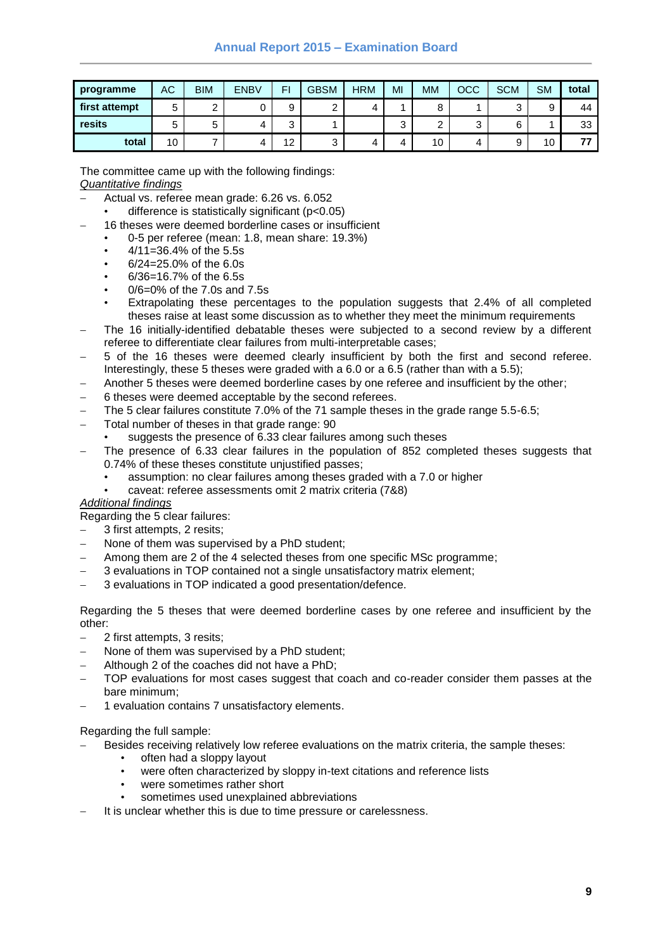| programme     | АC | <b>BIM</b> | <b>ENBV</b> | FI     | <b>GBSM</b> | <b>HRM</b> | MI     | MM     | OCC    | <b>SCM</b> | <b>SM</b> | total |
|---------------|----|------------|-------------|--------|-------------|------------|--------|--------|--------|------------|-----------|-------|
| first attempt | 5  | ົ<br>▃     |             |        |             |            |        | 8      |        |            |           | 44    |
| resits        | 5  | -<br>5     |             | ⌒<br>ີ |             |            | ╭<br>u | ົ<br>_ | ◠<br>J |            |           | 33    |
| total         | 10 | -          |             | 12     | ົ<br>ບ      |            |        | 10     | 4      |            | 10        | --    |

The committee came up with the following findings: *Quantitative findings*

- Actual vs. referee mean grade: 6.26 vs. 6.052
	- difference is statistically significant  $(p<0.05)$
- 16 theses were deemed borderline cases or insufficient
	- 0-5 per referee (mean: 1.8, mean share: 19.3%)
	- 4/11=36.4% of the 5.5s
	- 6/24=25.0% of the 6.0s
	- 6/36=16.7% of the 6.5s
	- 0/6=0% of the 7.0s and 7.5s
	- Extrapolating these percentages to the population suggests that 2.4% of all completed theses raise at least some discussion as to whether they meet the minimum requirements
- The 16 initially-identified debatable theses were subjected to a second review by a different referee to differentiate clear failures from multi-interpretable cases;
- 5 of the 16 theses were deemed clearly insufficient by both the first and second referee. Interestingly, these 5 theses were graded with a 6.0 or a 6.5 (rather than with a 5.5);
- Another 5 theses were deemed borderline cases by one referee and insufficient by the other;
- 6 theses were deemed acceptable by the second referees.
- The 5 clear failures constitute 7.0% of the 71 sample theses in the grade range 5.5-6.5;
- Total number of theses in that grade range: 90
	- suggests the presence of 6.33 clear failures among such theses
- The presence of 6.33 clear failures in the population of 852 completed theses suggests that 0.74% of these theses constitute unjustified passes;
	- assumption: no clear failures among theses graded with a 7.0 or higher
	- caveat: referee assessments omit 2 matrix criteria (7&8)

#### *Additional findings*

Regarding the 5 clear failures:

- 3 first attempts, 2 resits;
- None of them was supervised by a PhD student;
- Among them are 2 of the 4 selected theses from one specific MSc programme;
- 3 evaluations in TOP contained not a single unsatisfactory matrix element;
- 3 evaluations in TOP indicated a good presentation/defence.

Regarding the 5 theses that were deemed borderline cases by one referee and insufficient by the other:

- 2 first attempts, 3 resits;
- None of them was supervised by a PhD student;
- Although 2 of the coaches did not have a PhD;
- TOP evaluations for most cases suggest that coach and co-reader consider them passes at the bare minimum;
- 1 evaluation contains 7 unsatisfactory elements.

Regarding the full sample:

- Besides receiving relatively low referee evaluations on the matrix criteria, the sample theses:
	- often had a sloppy layout
	- were often characterized by sloppy in-text citations and reference lists
	- were sometimes rather short
	- sometimes used unexplained abbreviations
- It is unclear whether this is due to time pressure or carelessness.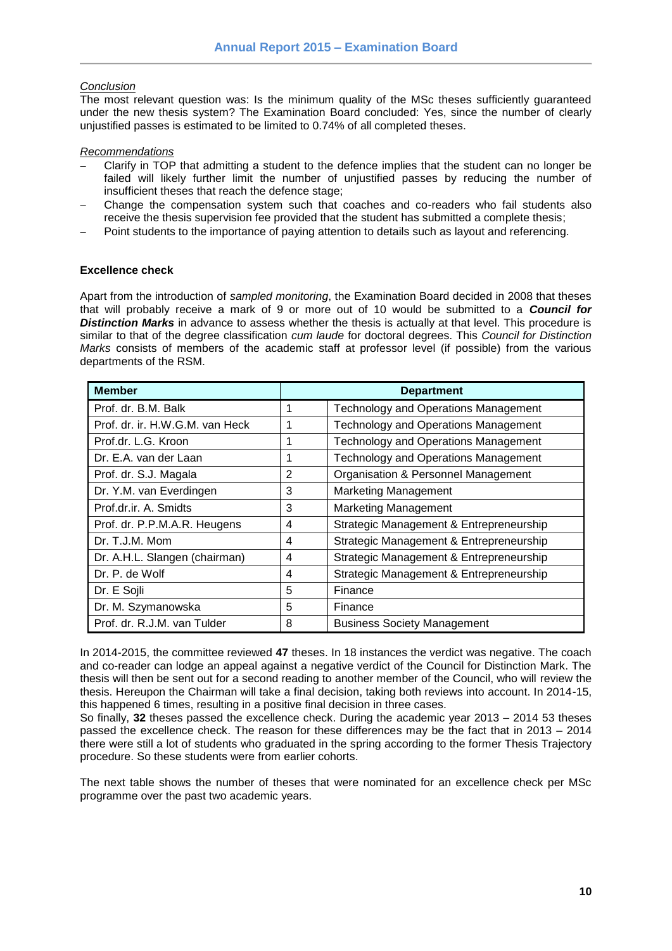### *Conclusion*

The most relevant question was: Is the minimum quality of the MSc theses sufficiently guaranteed under the new thesis system? The Examination Board concluded: Yes, since the number of clearly unjustified passes is estimated to be limited to 0.74% of all completed theses.

### *Recommendations*

- Clarify in TOP that admitting a student to the defence implies that the student can no longer be failed will likely further limit the number of unjustified passes by reducing the number of insufficient theses that reach the defence stage;
- Change the compensation system such that coaches and co-readers who fail students also receive the thesis supervision fee provided that the student has submitted a complete thesis;
- Point students to the importance of paying attention to details such as layout and referencing.

### <span id="page-9-0"></span>**Excellence check**

Apart from the introduction of *sampled monitoring*, the Examination Board decided in 2008 that theses that will probably receive a mark of 9 or more out of 10 would be submitted to a *Council for*  **Distinction Marks** in advance to assess whether the thesis is actually at that level. This procedure is similar to that of the degree classification *cum laude* for doctoral degrees. This *Council for Distinction Marks* consists of members of the academic staff at professor level (if possible) from the various departments of the RSM.

| <b>Member</b>                   |                | <b>Department</b>                           |
|---------------------------------|----------------|---------------------------------------------|
| Prof. dr. B.M. Balk             | 1              | <b>Technology and Operations Management</b> |
| Prof. dr. ir. H.W.G.M. van Heck | 1              | <b>Technology and Operations Management</b> |
| Prof.dr. L.G. Kroon             | 1              | <b>Technology and Operations Management</b> |
| Dr. E.A. van der Laan           | 1              | <b>Technology and Operations Management</b> |
| Prof. dr. S.J. Magala           | $\overline{2}$ | Organisation & Personnel Management         |
| Dr. Y.M. van Everdingen         | 3              | <b>Marketing Management</b>                 |
| Prof.dr.ir. A. Smidts           | 3              | <b>Marketing Management</b>                 |
| Prof. dr. P.P.M.A.R. Heugens    | 4              | Strategic Management & Entrepreneurship     |
| Dr. T.J.M. Mom                  | 4              | Strategic Management & Entrepreneurship     |
| Dr. A.H.L. Slangen (chairman)   | 4              | Strategic Management & Entrepreneurship     |
| Dr. P. de Wolf                  | 4              | Strategic Management & Entrepreneurship     |
| Dr. E Sojli                     | 5              | Finance                                     |
| Dr. M. Szymanowska              | 5              | Finance                                     |
| Prof. dr. R.J.M. van Tulder     | 8              | <b>Business Society Management</b>          |

In 2014-2015, the committee reviewed **47** theses. In 18 instances the verdict was negative. The coach and co-reader can lodge an appeal against a negative verdict of the Council for Distinction Mark. The thesis will then be sent out for a second reading to another member of the Council, who will review the thesis. Hereupon the Chairman will take a final decision, taking both reviews into account. In 2014-15, this happened 6 times, resulting in a positive final decision in three cases.

So finally, **32** theses passed the excellence check. During the academic year 2013 – 2014 53 theses passed the excellence check. The reason for these differences may be the fact that in 2013 – 2014 there were still a lot of students who graduated in the spring according to the former Thesis Trajectory procedure. So these students were from earlier cohorts.

The next table shows the number of theses that were nominated for an excellence check per MSc programme over the past two academic years.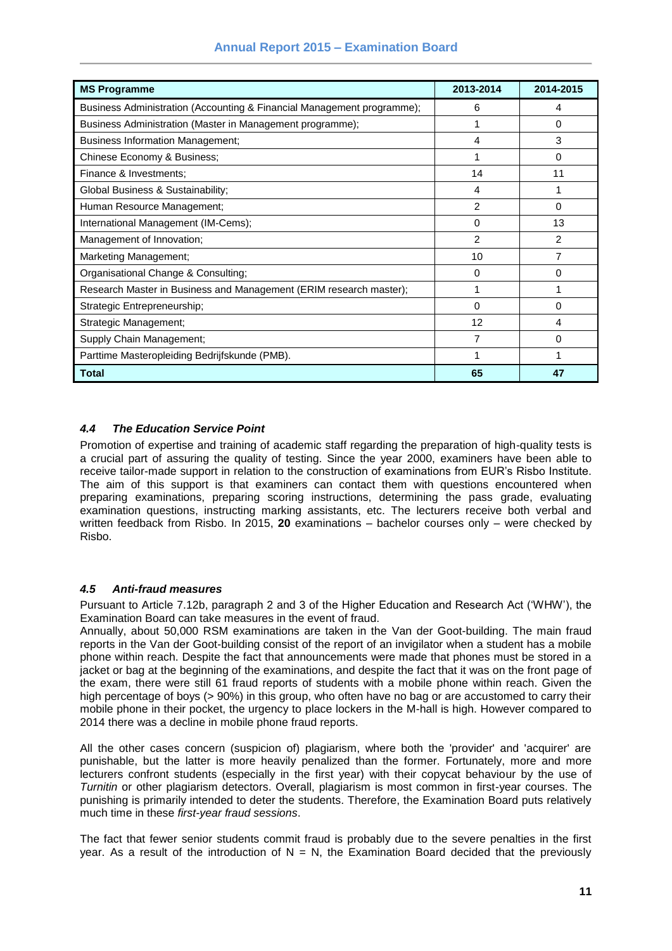| <b>MS Programme</b>                                                    | 2013-2014      | 2014-2015      |
|------------------------------------------------------------------------|----------------|----------------|
| Business Administration (Accounting & Financial Management programme); | 6              | 4              |
| Business Administration (Master in Management programme);              |                | 0              |
| <b>Business Information Management;</b>                                | 4              | 3              |
| Chinese Economy & Business;                                            | 1              | 0              |
| Finance & Investments;                                                 | 14             | 11             |
| Global Business & Sustainability;                                      | 4              |                |
| Human Resource Management;                                             | $\overline{2}$ | 0              |
| International Management (IM-Cems);                                    | 0              | 13             |
| Management of Innovation;                                              | $\overline{2}$ | $\overline{c}$ |
| Marketing Management;                                                  | 10             | 7              |
| Organisational Change & Consulting;                                    | 0              | 0              |
| Research Master in Business and Management (ERIM research master);     | 1              |                |
| Strategic Entrepreneurship;                                            | 0              | 0              |
| Strategic Management;                                                  | 12             | 4              |
| Supply Chain Management;                                               | 7              | 0              |
| Parttime Masteropleiding Bedrijfskunde (PMB).                          | 1              |                |
| Total                                                                  | 65             | 47             |

### <span id="page-10-0"></span>*4.4 The Education Service Point*

Promotion of expertise and training of academic staff regarding the preparation of high-quality tests is a crucial part of assuring the quality of testing. Since the year 2000, examiners have been able to receive tailor-made support in relation to the construction of examinations from EUR's Risbo Institute. The aim of this support is that examiners can contact them with questions encountered when preparing examinations, preparing scoring instructions, determining the pass grade, evaluating examination questions, instructing marking assistants, etc. The lecturers receive both verbal and written feedback from Risbo. In 2015, **20** examinations – bachelor courses only – were checked by Risbo.

### <span id="page-10-1"></span>*4.5 Anti-fraud measures*

Pursuant to Article 7.12b, paragraph 2 and 3 of the Higher Education and Research Act ('WHW'), the Examination Board can take measures in the event of fraud.

Annually, about 50,000 RSM examinations are taken in the Van der Goot-building. The main fraud reports in the Van der Goot-building consist of the report of an invigilator when a student has a mobile phone within reach. Despite the fact that announcements were made that phones must be stored in a jacket or bag at the beginning of the examinations, and despite the fact that it was on the front page of the exam, there were still 61 fraud reports of students with a mobile phone within reach. Given the high percentage of boys (> 90%) in this group, who often have no bag or are accustomed to carry their mobile phone in their pocket, the urgency to place lockers in the M-hall is high. However compared to 2014 there was a decline in mobile phone fraud reports.

All the other cases concern (suspicion of) plagiarism, where both the 'provider' and 'acquirer' are punishable, but the latter is more heavily penalized than the former. Fortunately, more and more lecturers confront students (especially in the first year) with their copycat behaviour by the use of *Turnitin* or other plagiarism detectors. Overall, plagiarism is most common in first-year courses. The punishing is primarily intended to deter the students. Therefore, the Examination Board puts relatively much time in these *first-year fraud sessions*.

The fact that fewer senior students commit fraud is probably due to the severe penalties in the first year. As a result of the introduction of  $N = N$ , the Examination Board decided that the previously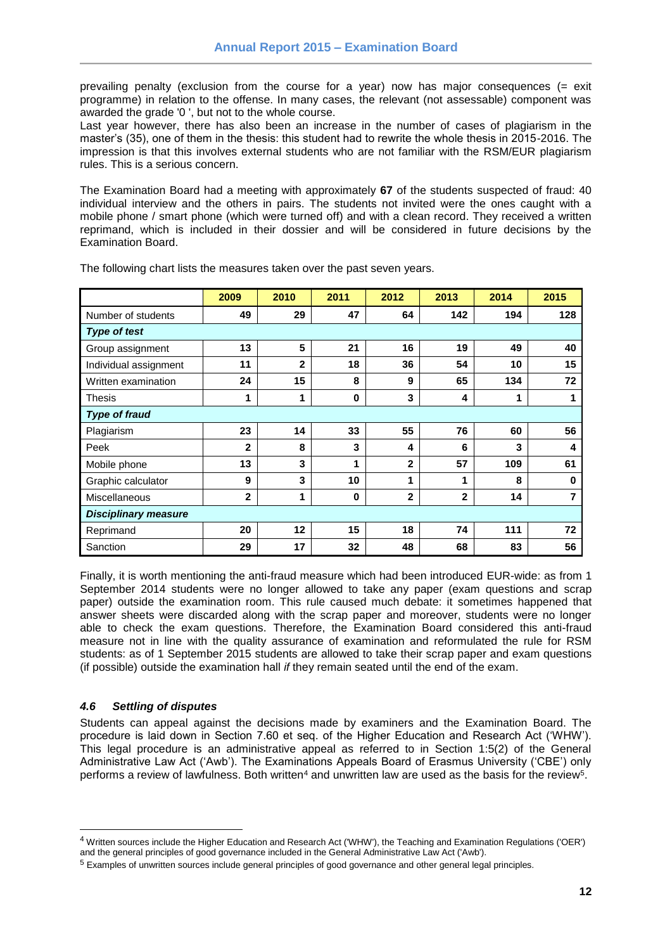prevailing penalty (exclusion from the course for a year) now has major consequences (= exit programme) in relation to the offense. In many cases, the relevant (not assessable) component was awarded the grade '0 ', but not to the whole course.

Last year however, there has also been an increase in the number of cases of plagiarism in the master's (35), one of them in the thesis: this student had to rewrite the whole thesis in 2015-2016. The impression is that this involves external students who are not familiar with the RSM/EUR plagiarism rules. This is a serious concern.

The Examination Board had a meeting with approximately **67** of the students suspected of fraud: 40 individual interview and the others in pairs. The students not invited were the ones caught with a mobile phone / smart phone (which were turned off) and with a clean record. They received a written reprimand, which is included in their dossier and will be considered in future decisions by the Examination Board.

|                             | 2009         | 2010         | 2011 | 2012           | 2013         | 2014 | 2015 |  |  |
|-----------------------------|--------------|--------------|------|----------------|--------------|------|------|--|--|
| Number of students          | 49           | 29           | 47   | 64             | 142          | 194  | 128  |  |  |
| <b>Type of test</b>         |              |              |      |                |              |      |      |  |  |
| Group assignment            | 13           | 5            | 21   | 16             | 19           | 49   | 40   |  |  |
| Individual assignment       | 11           | $\mathbf{2}$ | 18   | 36             | 54           | 10   | 15   |  |  |
| Written examination         | 24           | 15           | 8    | 9              | 65           | 134  | 72   |  |  |
| <b>Thesis</b>               | 1            | 1            | 0    | 3              | 4            | 1    | 1    |  |  |
| <b>Type of fraud</b>        |              |              |      |                |              |      |      |  |  |
| Plagiarism                  | 23           | 14           | 33   | 55             | 76           | 60   | 56   |  |  |
| Peek                        | $\mathbf{2}$ | 8            | 3    | 4              | 6            | 3    | 4    |  |  |
| Mobile phone                | 13           | 3            | 1    | $\mathbf{2}$   | 57           | 109  | 61   |  |  |
| Graphic calculator          | 9            | 3            | 10   | 1              | 1            | 8    | 0    |  |  |
| Miscellaneous               | $\mathbf{2}$ | 1            | 0    | $\overline{2}$ | $\mathbf{2}$ | 14   | 7    |  |  |
| <b>Disciplinary measure</b> |              |              |      |                |              |      |      |  |  |
| Reprimand                   | 20           | 12           | 15   | 18             | 74           | 111  | 72   |  |  |
| Sanction                    | 29           | 17           | 32   | 48             | 68           | 83   | 56   |  |  |

The following chart lists the measures taken over the past seven years.

Finally, it is worth mentioning the anti-fraud measure which had been introduced EUR-wide: as from 1 September 2014 students were no longer allowed to take any paper (exam questions and scrap paper) outside the examination room. This rule caused much debate: it sometimes happened that answer sheets were discarded along with the scrap paper and moreover, students were no longer able to check the exam questions. Therefore, the Examination Board considered this anti-fraud measure not in line with the quality assurance of examination and reformulated the rule for RSM students: as of 1 September 2015 students are allowed to take their scrap paper and exam questions (if possible) outside the examination hall *if* they remain seated until the end of the exam.

### <span id="page-11-0"></span>*4.6 Settling of disputes*

l

Students can appeal against the decisions made by examiners and the Examination Board. The procedure is laid down in Section 7.60 et seq. of the Higher Education and Research Act ('WHW'). This legal procedure is an administrative appeal as referred to in Section 1:5(2) of the General Administrative Law Act ('Awb'). The Examinations Appeals Board of Erasmus University ('CBE') only performs a review of lawfulness. Both written $^4$  and unwritten law are used as the basis for the review $^5$ .

<sup>4</sup> Written sources include the Higher Education and Research Act ('WHW'), the Teaching and Examination Regulations ('OER') and the general principles of good governance included in the General Administrative Law Act ('Awb').

<sup>5</sup> Examples of unwritten sources include general principles of good governance and other general legal principles.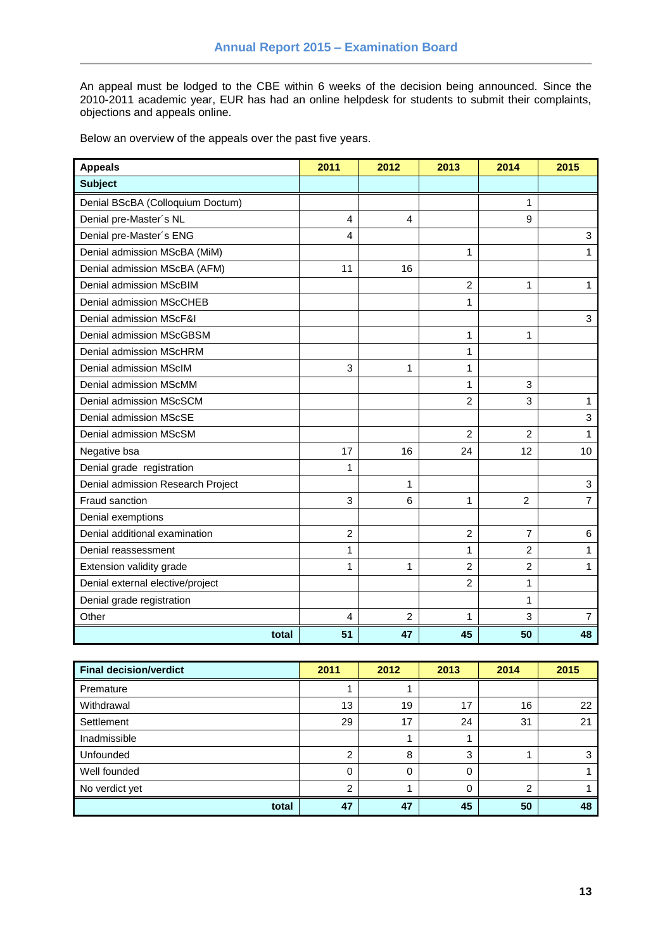An appeal must be lodged to the CBE within 6 weeks of the decision being announced. Since the 2010-2011 academic year, EUR has had an online helpdesk for students to submit their complaints, objections and appeals online.

Below an overview of the appeals over the past five years.

| <b>Appeals</b>                    | 2011           | 2012           | 2013           | 2014           | 2015           |
|-----------------------------------|----------------|----------------|----------------|----------------|----------------|
| <b>Subject</b>                    |                |                |                |                |                |
| Denial BScBA (Colloquium Doctum)  |                |                |                | 1              |                |
| Denial pre-Master's NL            | 4              | 4              |                | 9              |                |
| Denial pre-Master's ENG           | 4              |                |                |                | 3              |
| Denial admission MScBA (MiM)      |                |                | 1              |                | 1              |
| Denial admission MScBA (AFM)      | 11             | 16             |                |                |                |
| Denial admission MScBIM           |                |                | 2              | 1              | 1              |
| Denial admission MScCHEB          |                |                | 1              |                |                |
| Denial admission MScF&I           |                |                |                |                | 3              |
| Denial admission MScGBSM          |                |                | 1              | 1              |                |
| Denial admission MScHRM           |                |                | 1              |                |                |
| Denial admission MScIM            | 3              | 1              | 1              |                |                |
| Denial admission MScMM            |                |                | 1              | 3              |                |
| Denial admission MScSCM           |                |                | 2              | 3              | 1              |
| Denial admission MScSE            |                |                |                |                | 3              |
| Denial admission MScSM            |                |                | $\overline{2}$ | $\overline{c}$ | 1              |
| Negative bsa                      | 17             | 16             | 24             | 12             | 10             |
| Denial grade registration         | 1              |                |                |                |                |
| Denial admission Research Project |                | 1              |                |                | 3              |
| Fraud sanction                    | 3              | 6              | 1              | $\overline{2}$ | $\overline{7}$ |
| Denial exemptions                 |                |                |                |                |                |
| Denial additional examination     | $\overline{2}$ |                | $\overline{2}$ | 7              | 6              |
| Denial reassessment               | 1              |                | 1              | 2              | 1              |
| Extension validity grade          | 1              | 1              | 2              | 2              | 1              |
| Denial external elective/project  |                |                | 2              | 1              |                |
| Denial grade registration         |                |                |                | 1              |                |
| Other                             | 4              | $\overline{2}$ | 1              | 3              | $\overline{7}$ |
| total                             | 51             | 47             | 45             | 50             | 48             |

| <b>Final decision/verdict</b> | 2011         | 2012     | 2013     | 2014 | 2015 |
|-------------------------------|--------------|----------|----------|------|------|
| Premature                     |              |          |          |      |      |
| Withdrawal                    | 13           | 19       | 17       | 16   | 22   |
| Settlement                    | 29           | 17       | 24       | 31   | 21   |
| Inadmissible                  |              |          |          |      |      |
| Unfounded                     | ົ            | 8        | 3        |      |      |
| Well founded                  | <sup>0</sup> | $\Omega$ | $\Omega$ |      |      |
| No verdict yet                | ◠            |          | 0        |      |      |
| total                         | 47           | 47       | 45       | 50   | 48   |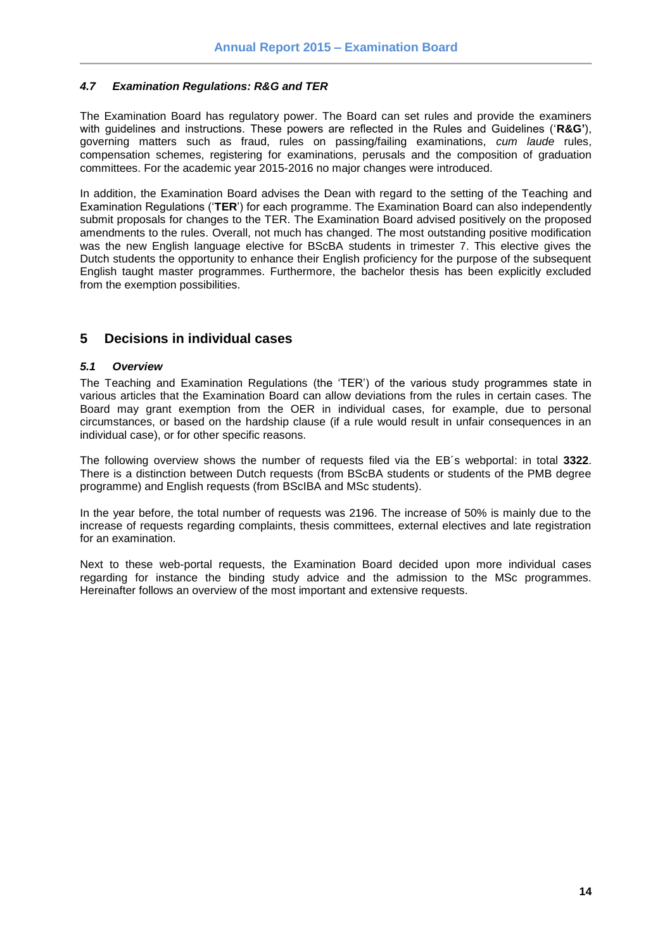### <span id="page-13-0"></span>*4.7 Examination Regulations: R&G and TER*

The Examination Board has regulatory power. The Board can set rules and provide the examiners with guidelines and instructions. These powers are reflected in the Rules and Guidelines ('**R&G'**), governing matters such as fraud, rules on passing/failing examinations, *cum laude* rules, compensation schemes, registering for examinations, perusals and the composition of graduation committees. For the academic year 2015-2016 no major changes were introduced.

In addition, the Examination Board advises the Dean with regard to the setting of the Teaching and Examination Regulations ('**TER**') for each programme. The Examination Board can also independently submit proposals for changes to the TER. The Examination Board advised positively on the proposed amendments to the rules. Overall, not much has changed. The most outstanding positive modification was the new English language elective for BScBA students in trimester 7. This elective gives the Dutch students the opportunity to enhance their English proficiency for the purpose of the subsequent English taught master programmes. Furthermore, the bachelor thesis has been explicitly excluded from the exemption possibilities.

### <span id="page-13-1"></span>**5 Decisions in individual cases**

### <span id="page-13-2"></span>*5.1 Overview*

The Teaching and Examination Regulations (the 'TER') of the various study programmes state in various articles that the Examination Board can allow deviations from the rules in certain cases. The Board may grant exemption from the OER in individual cases, for example, due to personal circumstances, or based on the hardship clause (if a rule would result in unfair consequences in an individual case), or for other specific reasons.

The following overview shows the number of requests filed via the EB´s webportal: in total **3322**. There is a distinction between Dutch requests (from BScBA students or students of the PMB degree programme) and English requests (from BScIBA and MSc students).

In the year before, the total number of requests was 2196. The increase of 50% is mainly due to the increase of requests regarding complaints, thesis committees, external electives and late registration for an examination.

Next to these web-portal requests, the Examination Board decided upon more individual cases regarding for instance the binding study advice and the admission to the MSc programmes. Hereinafter follows an overview of the most important and extensive requests.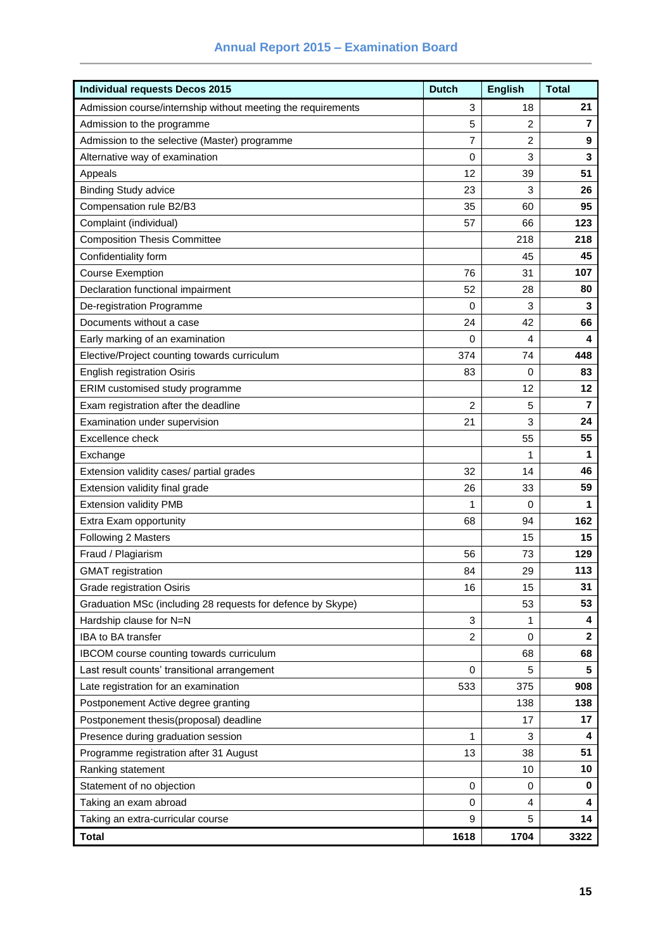## **Annual Report 2015 – Examination Board**

| <b>Individual requests Decos 2015</b>                        | <b>Dutch</b>   | <b>English</b> | <b>Total</b>   |
|--------------------------------------------------------------|----------------|----------------|----------------|
| Admission course/internship without meeting the requirements | 3              | 18             | 21             |
| Admission to the programme                                   | 5              | 2              | $\overline{7}$ |
| Admission to the selective (Master) programme                | 7              | 2              | 9              |
| Alternative way of examination                               | 0              | 3              | 3              |
| Appeals                                                      | 12             | 39             | 51             |
| <b>Binding Study advice</b>                                  | 23             | 3              | 26             |
| Compensation rule B2/B3                                      | 35             | 60             | 95             |
| Complaint (individual)                                       | 57             | 66             | 123            |
| <b>Composition Thesis Committee</b>                          |                | 218            | 218            |
| Confidentiality form                                         |                | 45             | 45             |
| <b>Course Exemption</b>                                      | 76             | 31             | 107            |
| Declaration functional impairment                            | 52             | 28             | 80             |
| De-registration Programme                                    | 0              | 3              | 3              |
| Documents without a case                                     | 24             | 42             | 66             |
| Early marking of an examination                              | 0              | 4              | 4              |
| Elective/Project counting towards curriculum                 | 374            | 74             | 448            |
| <b>English registration Osiris</b>                           | 83             | 0              | 83             |
| ERIM customised study programme                              |                | 12             | 12             |
| Exam registration after the deadline                         | 2              | 5              | 7              |
| Examination under supervision                                | 21             | 3              | 24             |
| Excellence check                                             |                | 55             | 55             |
| Exchange                                                     |                | 1              | 1              |
| Extension validity cases/ partial grades                     | 32             | 14             | 46             |
| Extension validity final grade                               | 26             | 33             | 59             |
| <b>Extension validity PMB</b>                                | 1              | 0              | 1              |
| Extra Exam opportunity                                       | 68             | 94             | 162            |
| Following 2 Masters                                          |                | 15             | 15             |
| Fraud / Plagiarism                                           | 56             | 73             | 129            |
| <b>GMAT</b> registration                                     | 84             | 29             | 113            |
| Grade registration Osiris                                    | 16             | 15             | 31             |
| Graduation MSc (including 28 requests for defence by Skype)  |                | 53             | 53             |
| Hardship clause for N=N                                      | 3              | 1              | 4              |
| IBA to BA transfer                                           | $\overline{c}$ | 0              | $\mathbf{2}$   |
| IBCOM course counting towards curriculum                     |                | 68             | 68             |
| Last result counts' transitional arrangement                 | 0              | 5              | 5              |
| Late registration for an examination                         | 533            | 375            | 908            |
| Postponement Active degree granting                          |                | 138            | 138            |
| Postponement thesis(proposal) deadline                       |                | 17             | 17             |
| Presence during graduation session                           | 1              | 3              | 4              |
| Programme registration after 31 August                       | 13             | 38             | 51             |
| Ranking statement                                            |                | 10             | 10             |
| Statement of no objection                                    | 0              | 0              | 0              |
| Taking an exam abroad                                        | 0              | 4              | 4              |
| Taking an extra-curricular course                            | 9              | 5              | 14             |
| <b>Total</b>                                                 | 1618           | 1704           | 3322           |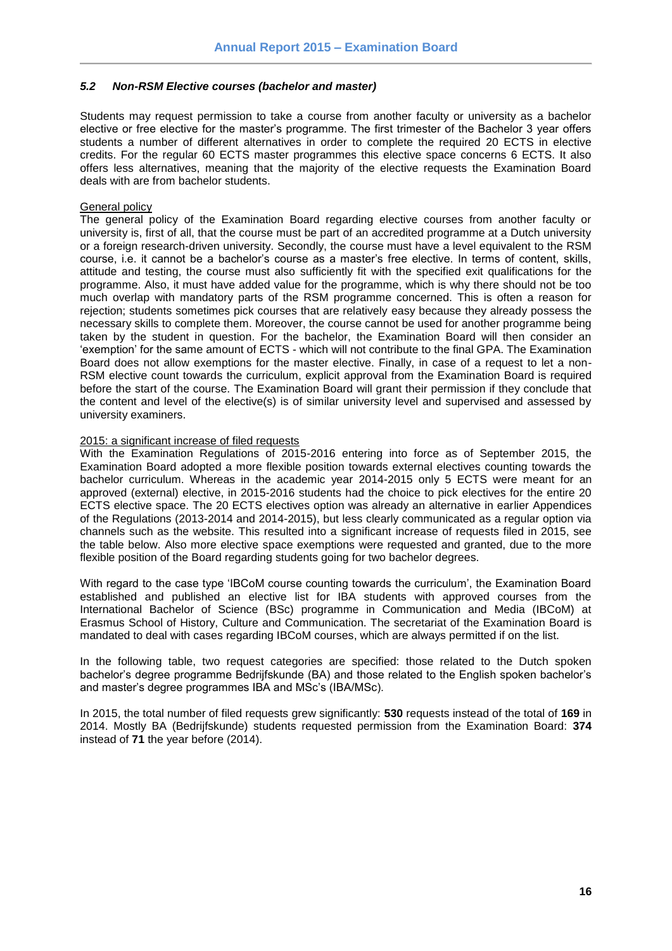#### <span id="page-15-0"></span>*5.2 Non-RSM Elective courses (bachelor and master)*

Students may request permission to take a course from another faculty or university as a bachelor elective or free elective for the master's programme. The first trimester of the Bachelor 3 year offers students a number of different alternatives in order to complete the required 20 ECTS in elective credits. For the regular 60 ECTS master programmes this elective space concerns 6 ECTS. It also offers less alternatives, meaning that the majority of the elective requests the Examination Board deals with are from bachelor students.

#### General policy

The general policy of the Examination Board regarding elective courses from another faculty or university is, first of all, that the course must be part of an accredited programme at a Dutch university or a foreign research-driven university. Secondly, the course must have a level equivalent to the RSM course, i.e. it cannot be a bachelor's course as a master's free elective. In terms of content, skills, attitude and testing, the course must also sufficiently fit with the specified exit qualifications for the programme. Also, it must have added value for the programme, which is why there should not be too much overlap with mandatory parts of the RSM programme concerned. This is often a reason for rejection; students sometimes pick courses that are relatively easy because they already possess the necessary skills to complete them. Moreover, the course cannot be used for another programme being taken by the student in question. For the bachelor, the Examination Board will then consider an 'exemption' for the same amount of ECTS - which will not contribute to the final GPA. The Examination Board does not allow exemptions for the master elective. Finally, in case of a request to let a non-RSM elective count towards the curriculum, explicit approval from the Examination Board is required before the start of the course. The Examination Board will grant their permission if they conclude that the content and level of the elective(s) is of similar university level and supervised and assessed by university examiners.

#### 2015: a significant increase of filed requests

With the Examination Regulations of 2015-2016 entering into force as of September 2015, the Examination Board adopted a more flexible position towards external electives counting towards the bachelor curriculum. Whereas in the academic year 2014-2015 only 5 ECTS were meant for an approved (external) elective, in 2015-2016 students had the choice to pick electives for the entire 20 ECTS elective space. The 20 ECTS electives option was already an alternative in earlier Appendices of the Regulations (2013-2014 and 2014-2015), but less clearly communicated as a regular option via channels such as the website. This resulted into a significant increase of requests filed in 2015, see the table below. Also more elective space exemptions were requested and granted, due to the more flexible position of the Board regarding students going for two bachelor degrees.

With regard to the case type 'IBCoM course counting towards the curriculum', the Examination Board established and published an elective list for IBA students with approved courses from the International Bachelor of Science (BSc) programme in Communication and Media (IBCoM) at Erasmus School of History, Culture and Communication. The secretariat of the Examination Board is mandated to deal with cases regarding IBCoM courses, which are always permitted if on the list.

In the following table, two request categories are specified: those related to the Dutch spoken bachelor's degree programme Bedrijfskunde (BA) and those related to the English spoken bachelor's and master's degree programmes IBA and MSc's (IBA/MSc).

In 2015, the total number of filed requests grew significantly: **530** requests instead of the total of **169** in 2014. Mostly BA (Bedrijfskunde) students requested permission from the Examination Board: **374** instead of **71** the year before (2014).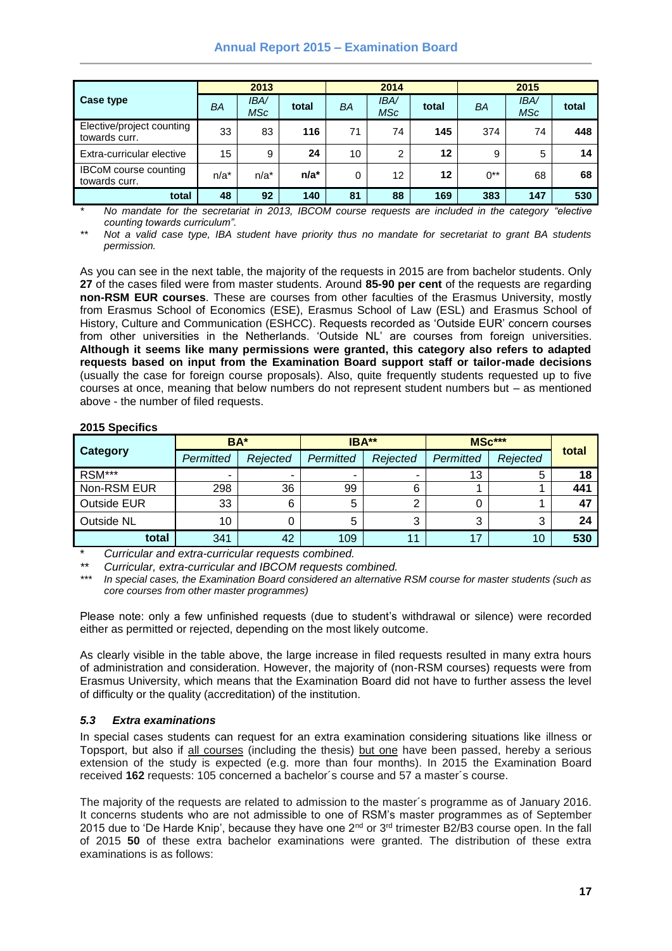### **Annual Report 2015 – Examination Board**

|                                               | 2013    |                           |         | 2014 |                   |       | 2015  |                   |       |
|-----------------------------------------------|---------|---------------------------|---------|------|-------------------|-------|-------|-------------------|-------|
| Case type                                     | BA      | <b>IBA/</b><br><b>MSc</b> | total   | BA   | <b>IBA</b><br>MSc | total | ΒA    | <b>IBA</b><br>MSc | total |
| Elective/project counting<br>towards curr.    | 33      | 83                        | 116     | 71   | 74                | 145   | 374   | 74                | 448   |
| Extra-curricular elective                     | 15      | 9                         | 24      | 10   | $\overline{2}$    | 12    | 9     | 5                 | 14    |
| <b>IBCoM</b> course counting<br>towards curr. | $n/a^*$ | $n/a^*$                   | $n/a^*$ | 0    | 12                | 12    | $0**$ | 68                | 68    |
| total                                         | 48      | 92                        | 140     | 81   | 88                | 169   | 383   | 147               | 530   |

*\* No mandate for the secretariat in 2013, IBCOM course requests are included in the category "elective counting towards curriculum".*

*\*\* Not a valid case type, IBA student have priority thus no mandate for secretariat to grant BA students permission.*

As you can see in the next table, the majority of the requests in 2015 are from bachelor students. Only **27** of the cases filed were from master students. Around **85-90 per cent** of the requests are regarding **non-RSM EUR courses**. These are courses from other faculties of the Erasmus University, mostly from Erasmus School of Economics (ESE), Erasmus School of Law (ESL) and Erasmus School of History, Culture and Communication (ESHCC). Requests recorded as 'Outside EUR' concern courses from other universities in the Netherlands. 'Outside NL' are courses from foreign universities. **Although it seems like many permissions were granted, this category also refers to adapted requests based on input from the Examination Board support staff or tailor-made decisions** (usually the case for foreign course proposals). Also, quite frequently students requested up to five courses at once, meaning that below numbers do not represent student numbers but – as mentioned above - the number of filed requests.

### **2015 Specifics**

|                    | BA*       |          | IBA**     |          | MSc***    |               |       |
|--------------------|-----------|----------|-----------|----------|-----------|---------------|-------|
| <b>Category</b>    | Permitted | Rejected | Permitted | Rejected | Permitted | Rejected<br>ь | total |
| RSM***             | ۰         | -        | ۰         | -        | 13        |               | 18    |
| Non-RSM EUR        | 298       | 36       | 99        | 6        |           |               | 441   |
| <b>Outside EUR</b> | 33        | 6        | 5         | ົ        |           |               | 47    |
| Outside NL         | 10        |          | 5         | ົ<br>J   | 3         | 3             | 24    |
| total              | 341       | 42       | 109       | 11       | 17        | 10            | 530   |

\* *Curricular and extra-curricular requests combined.*

*\*\* Curricular, extra-curricular and IBCOM requests combined.*

*\*\*\* In special cases, the Examination Board considered an alternative RSM course for master students (such as core courses from other master programmes)*

Please note: only a few unfinished requests (due to student's withdrawal or silence) were recorded either as permitted or rejected, depending on the most likely outcome.

As clearly visible in the table above, the large increase in filed requests resulted in many extra hours of administration and consideration. However, the majority of (non-RSM courses) requests were from Erasmus University, which means that the Examination Board did not have to further assess the level of difficulty or the quality (accreditation) of the institution.

#### <span id="page-16-0"></span>*5.3 Extra examinations*

In special cases students can request for an extra examination considering situations like illness or Topsport, but also if all courses (including the thesis) but one have been passed, hereby a serious extension of the study is expected (e.g. more than four months). In 2015 the Examination Board received **162** requests: 105 concerned a bachelor´s course and 57 a master´s course.

The majority of the requests are related to admission to the master´s programme as of January 2016. It concerns students who are not admissible to one of RSM's master programmes as of September 2015 due to 'De Harde Knip', because they have one  $2^{nd}$  or  $3^{rd}$  trimester B2/B3 course open. In the fall of 2015 **50** of these extra bachelor examinations were granted. The distribution of these extra examinations is as follows: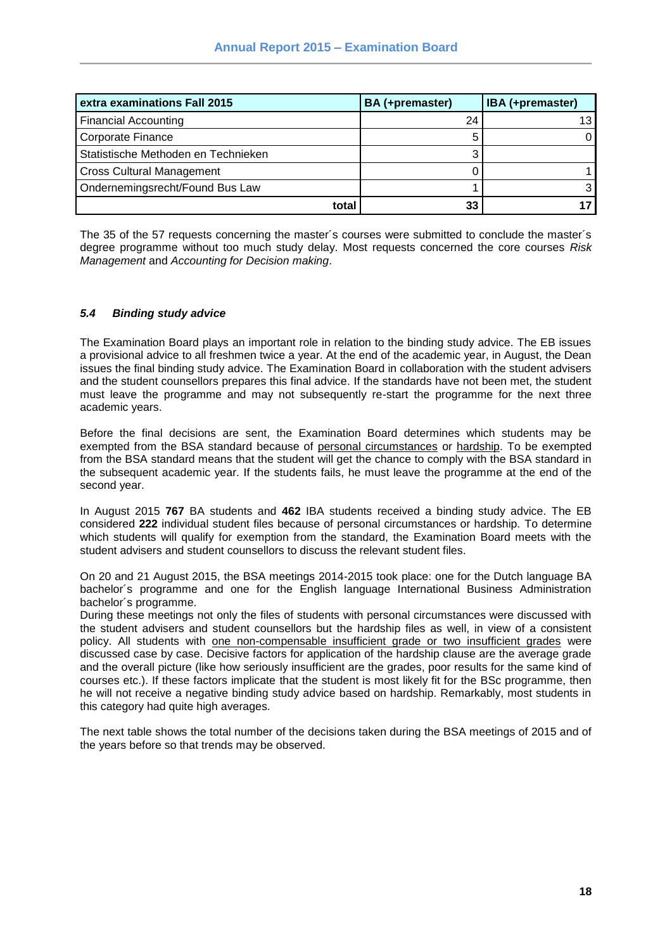| extra examinations Fall 2015        | BA (+premaster) | IBA (+premaster) |
|-------------------------------------|-----------------|------------------|
| <b>Financial Accounting</b>         | 24              | 13.              |
| <b>Corporate Finance</b>            |                 |                  |
| Statistische Methoden en Technieken |                 |                  |
| <b>Cross Cultural Management</b>    |                 |                  |
| Ondernemingsrecht/Found Bus Law     |                 |                  |
| total                               | 33              |                  |

The 35 of the 57 requests concerning the master´s courses were submitted to conclude the master´s degree programme without too much study delay. Most requests concerned the core courses *Risk Management* and *Accounting for Decision making*.

### <span id="page-17-0"></span>*5.4 Binding study advice*

The Examination Board plays an important role in relation to the binding study advice. The EB issues a provisional advice to all freshmen twice a year. At the end of the academic year, in August, the Dean issues the final binding study advice. The Examination Board in collaboration with the student advisers and the student counsellors prepares this final advice. If the standards have not been met, the student must leave the programme and may not subsequently re-start the programme for the next three academic years.

Before the final decisions are sent, the Examination Board determines which students may be exempted from the BSA standard because of personal circumstances or hardship. To be exempted from the BSA standard means that the student will get the chance to comply with the BSA standard in the subsequent academic year. If the students fails, he must leave the programme at the end of the second year.

In August 2015 **767** BA students and **462** IBA students received a binding study advice. The EB considered **222** individual student files because of personal circumstances or hardship. To determine which students will qualify for exemption from the standard, the Examination Board meets with the student advisers and student counsellors to discuss the relevant student files.

On 20 and 21 August 2015, the BSA meetings 2014-2015 took place: one for the Dutch language BA bachelor´s programme and one for the English language International Business Administration bachelor´s programme.

During these meetings not only the files of students with personal circumstances were discussed with the student advisers and student counsellors but the hardship files as well, in view of a consistent policy. All students with one non-compensable insufficient grade or two insufficient grades were discussed case by case. Decisive factors for application of the hardship clause are the average grade and the overall picture (like how seriously insufficient are the grades, poor results for the same kind of courses etc.). If these factors implicate that the student is most likely fit for the BSc programme, then he will not receive a negative binding study advice based on hardship. Remarkably, most students in this category had quite high averages.

The next table shows the total number of the decisions taken during the BSA meetings of 2015 and of the years before so that trends may be observed.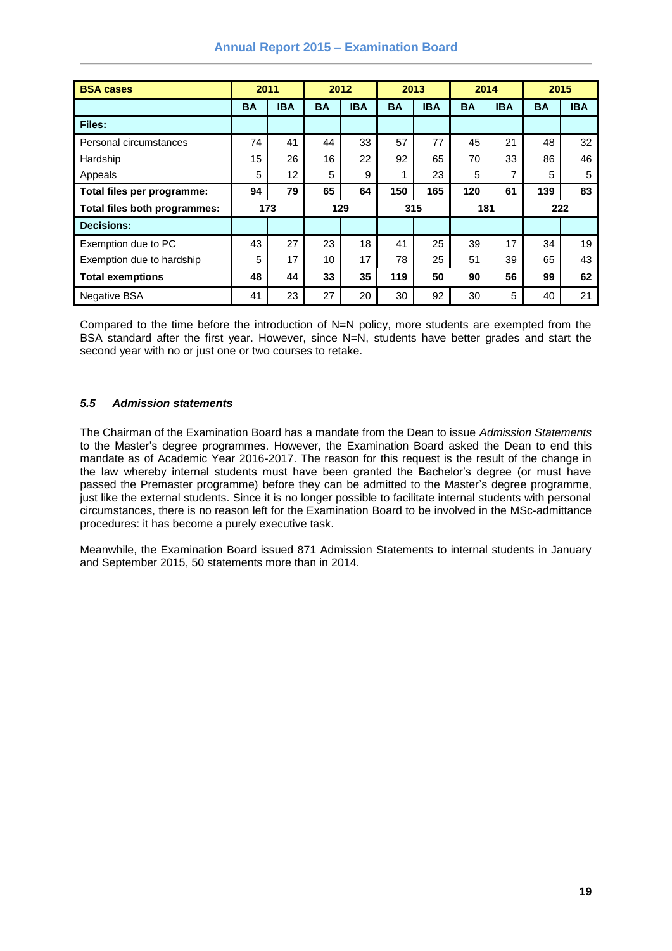| <b>BSA cases</b>             | 2011      |            | 2012      |            | 2013      |            | 2014      |            | 2015      |            |
|------------------------------|-----------|------------|-----------|------------|-----------|------------|-----------|------------|-----------|------------|
|                              | <b>BA</b> | <b>IBA</b> | <b>BA</b> | <b>IBA</b> | <b>BA</b> | <b>IBA</b> | <b>BA</b> | <b>IBA</b> | <b>BA</b> | <b>IBA</b> |
| Files:                       |           |            |           |            |           |            |           |            |           |            |
| Personal circumstances       | 74        | 41         | 44        | 33         | 57        | 77         | 45        | 21         | 48        | 32         |
| Hardship                     | 15        | 26         | 16        | 22         | 92        | 65         | 70        | 33         | 86        | 46         |
| Appeals                      | 5         | 12         | 5         | 9          |           | 23         | 5         | 7          | 5         | 5          |
| Total files per programme:   | 94        | 79         | 65        | 64         | 150       | 165        | 120       | 61         | 139       | 83         |
| Total files both programmes: | 173       |            | 129       |            | 315       |            | 181       |            | 222       |            |
| <b>Decisions:</b>            |           |            |           |            |           |            |           |            |           |            |
| Exemption due to PC          | 43        | 27         | 23        | 18         | 41        | 25         | 39        | 17         | 34        | 19         |
| Exemption due to hardship    | 5         | 17         | 10        | 17         | 78        | 25         | 51        | 39         | 65        | 43         |
| <b>Total exemptions</b>      | 48        | 44         | 33        | 35         | 119       | 50         | 90        | 56         | 99        | 62         |
| <b>Negative BSA</b>          | 41        | 23         | 27        | 20         | 30        | 92         | 30        | 5          | 40        | 21         |

### **Annual Report 2015 – Examination Board**

Compared to the time before the introduction of N=N policy, more students are exempted from the BSA standard after the first year. However, since N=N, students have better grades and start the second year with no or just one or two courses to retake.

### <span id="page-18-0"></span>*5.5 Admission statements*

The Chairman of the Examination Board has a mandate from the Dean to issue *Admission Statements* to the Master's degree programmes. However, the Examination Board asked the Dean to end this mandate as of Academic Year 2016-2017. The reason for this request is the result of the change in the law whereby internal students must have been granted the Bachelor's degree (or must have passed the Premaster programme) before they can be admitted to the Master's degree programme, just like the external students. Since it is no longer possible to facilitate internal students with personal circumstances, there is no reason left for the Examination Board to be involved in the MSc-admittance procedures: it has become a purely executive task.

Meanwhile, the Examination Board issued 871 Admission Statements to internal students in January and September 2015, 50 statements more than in 2014.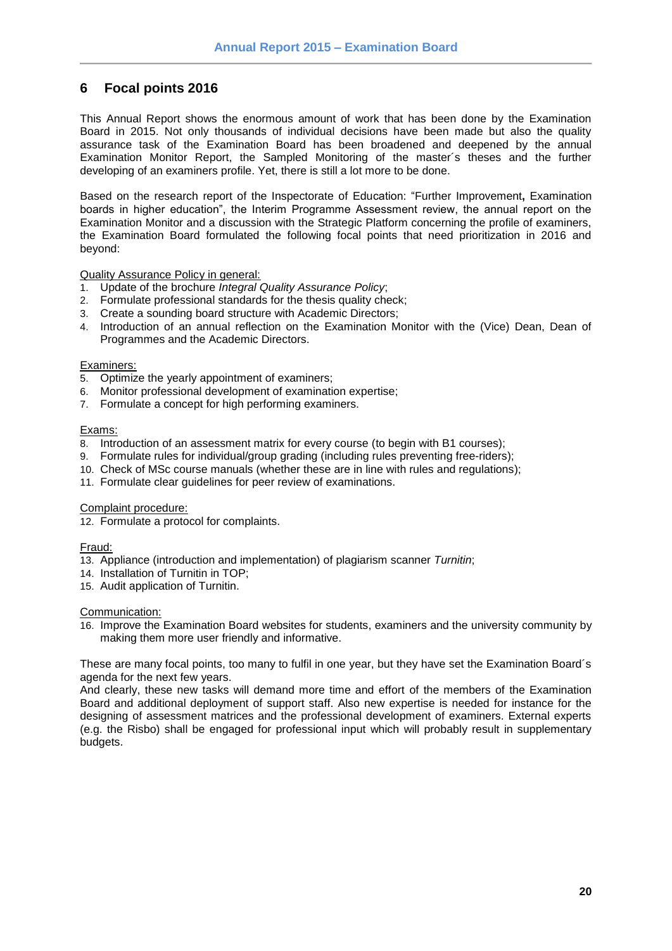### <span id="page-19-0"></span>**6 Focal points 2016**

This Annual Report shows the enormous amount of work that has been done by the Examination Board in 2015. Not only thousands of individual decisions have been made but also the quality assurance task of the Examination Board has been broadened and deepened by the annual Examination Monitor Report, the Sampled Monitoring of the master´s theses and the further developing of an examiners profile. Yet, there is still a lot more to be done.

Based on the research report of the Inspectorate of Education: "Further Improvement**,** Examination boards in higher education", the Interim Programme Assessment review, the annual report on the Examination Monitor and a discussion with the Strategic Platform concerning the profile of examiners, the Examination Board formulated the following focal points that need prioritization in 2016 and beyond:

Quality Assurance Policy in general:

- 1. Update of the brochure *Integral Quality Assurance Policy*;
- 2. Formulate professional standards for the thesis quality check;
- 3. Create a sounding board structure with Academic Directors;
- 4. Introduction of an annual reflection on the Examination Monitor with the (Vice) Dean, Dean of Programmes and the Academic Directors.

### Examiners:

- 5. Optimize the yearly appointment of examiners;
- 6. Monitor professional development of examination expertise;
- 7. Formulate a concept for high performing examiners.

### Exams:

- 8. Introduction of an assessment matrix for every course (to begin with B1 courses);
- 9. Formulate rules for individual/group grading (including rules preventing free-riders);
- 10. Check of MSc course manuals (whether these are in line with rules and regulations);
- 11. Formulate clear guidelines for peer review of examinations.

#### Complaint procedure:

12. Formulate a protocol for complaints.

### Fraud:

- 13. Appliance (introduction and implementation) of plagiarism scanner *Turnitin*;
- 14. Installation of Turnitin in TOP;
- 15. Audit application of Turnitin.

#### Communication:

16. Improve the Examination Board websites for students, examiners and the university community by making them more user friendly and informative.

These are many focal points, too many to fulfil in one year, but they have set the Examination Board´s agenda for the next few years.

And clearly, these new tasks will demand more time and effort of the members of the Examination Board and additional deployment of support staff. Also new expertise is needed for instance for the designing of assessment matrices and the professional development of examiners. External experts (e.g. the Risbo) shall be engaged for professional input which will probably result in supplementary budgets.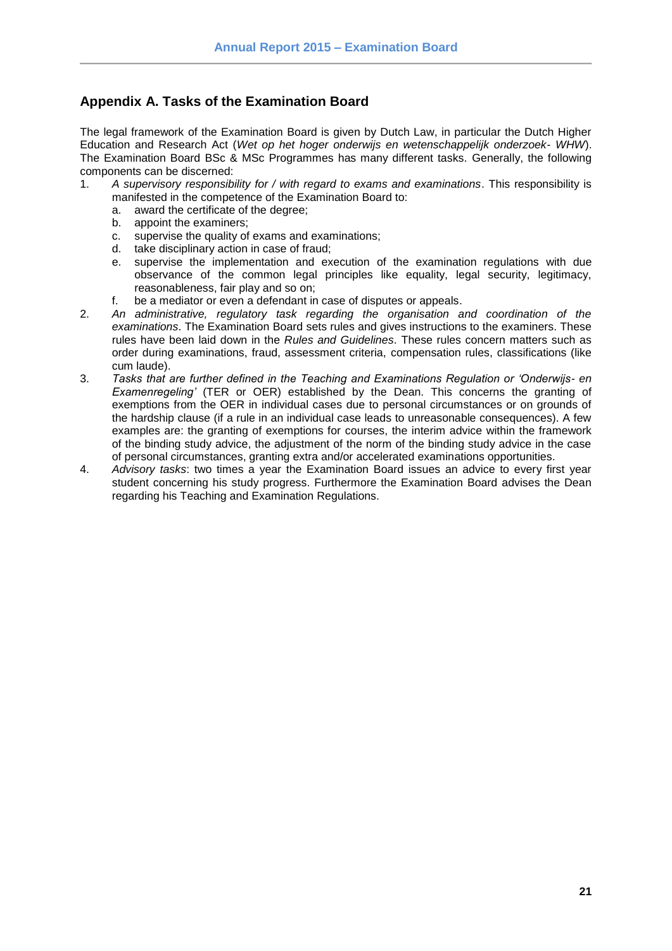### <span id="page-20-0"></span>**Appendix A. Tasks of the Examination Board**

The legal framework of the Examination Board is given by Dutch Law, in particular the Dutch Higher Education and Research Act (*Wet op het hoger onderwijs en wetenschappelijk onderzoek- WHW*). The Examination Board BSc & MSc Programmes has many different tasks. Generally, the following components can be discerned:

- 1. *A supervisory responsibility for / with regard to exams and examinations*. This responsibility is manifested in the competence of the Examination Board to:
	- a. award the certificate of the degree;
	- b. appoint the examiners;
	- c. supervise the quality of exams and examinations;
	- d. take disciplinary action in case of fraud;
	- e. supervise the implementation and execution of the examination regulations with due observance of the common legal principles like equality, legal security, legitimacy, reasonableness, fair play and so on;
	- f. be a mediator or even a defendant in case of disputes or appeals.
- 2. *An administrative, regulatory task regarding the organisation and coordination of the examinations*. The Examination Board sets rules and gives instructions to the examiners. These rules have been laid down in the *Rules and Guidelines*. These rules concern matters such as order during examinations, fraud, assessment criteria, compensation rules, classifications (like cum laude).
- 3. *Tasks that are further defined in the Teaching and Examinations Regulation or 'Onderwijs- en Examenregeling'* (TER or OER) established by the Dean. This concerns the granting of exemptions from the OER in individual cases due to personal circumstances or on grounds of the hardship clause (if a rule in an individual case leads to unreasonable consequences). A few examples are: the granting of exemptions for courses, the interim advice within the framework of the binding study advice, the adjustment of the norm of the binding study advice in the case of personal circumstances, granting extra and/or accelerated examinations opportunities.
- 4. *Advisory tasks*: two times a year the Examination Board issues an advice to every first year student concerning his study progress. Furthermore the Examination Board advises the Dean regarding his Teaching and Examination Regulations.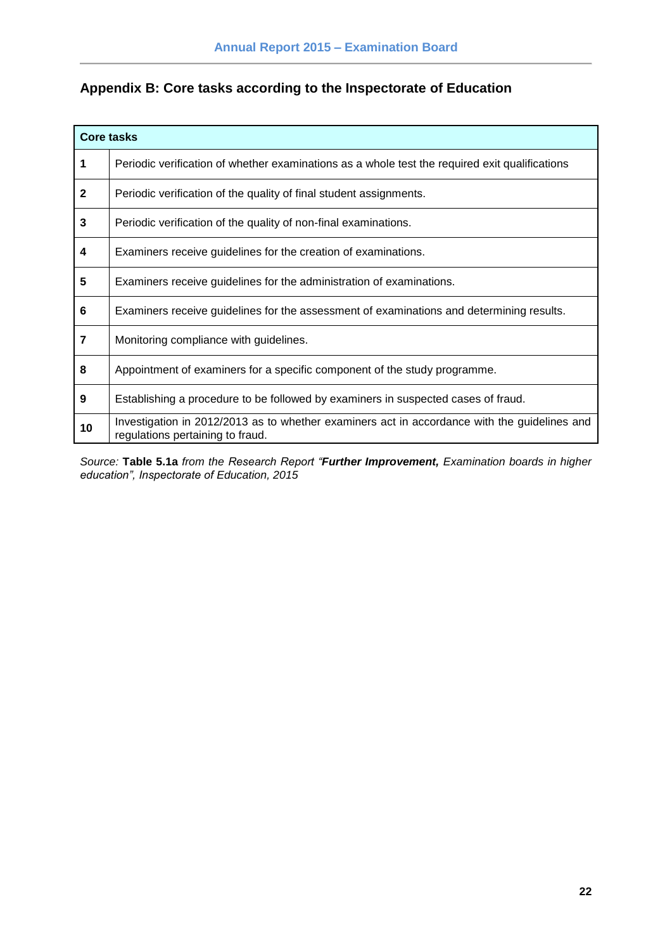## <span id="page-21-0"></span>**Appendix B: Core tasks according to the Inspectorate of Education**

| <b>Core tasks</b>       |                                                                                                                                  |  |  |  |  |  |
|-------------------------|----------------------------------------------------------------------------------------------------------------------------------|--|--|--|--|--|
| $\mathbf 1$             | Periodic verification of whether examinations as a whole test the required exit qualifications                                   |  |  |  |  |  |
| $\overline{2}$          | Periodic verification of the quality of final student assignments.                                                               |  |  |  |  |  |
| $\mathbf{3}$            | Periodic verification of the quality of non-final examinations.                                                                  |  |  |  |  |  |
| $\overline{\mathbf{4}}$ | Examiners receive guidelines for the creation of examinations.                                                                   |  |  |  |  |  |
| 5                       | Examiners receive guidelines for the administration of examinations.                                                             |  |  |  |  |  |
| 6                       | Examiners receive guidelines for the assessment of examinations and determining results.                                         |  |  |  |  |  |
| $\overline{7}$          | Monitoring compliance with guidelines.                                                                                           |  |  |  |  |  |
| 8                       | Appointment of examiners for a specific component of the study programme.                                                        |  |  |  |  |  |
| 9                       | Establishing a procedure to be followed by examiners in suspected cases of fraud.                                                |  |  |  |  |  |
| 10                      | Investigation in 2012/2013 as to whether examiners act in accordance with the guidelines and<br>regulations pertaining to fraud. |  |  |  |  |  |

*Source:* **Table 5.1a** *from the Research Report "Further Improvement, Examination boards in higher education", Inspectorate of Education, 2015*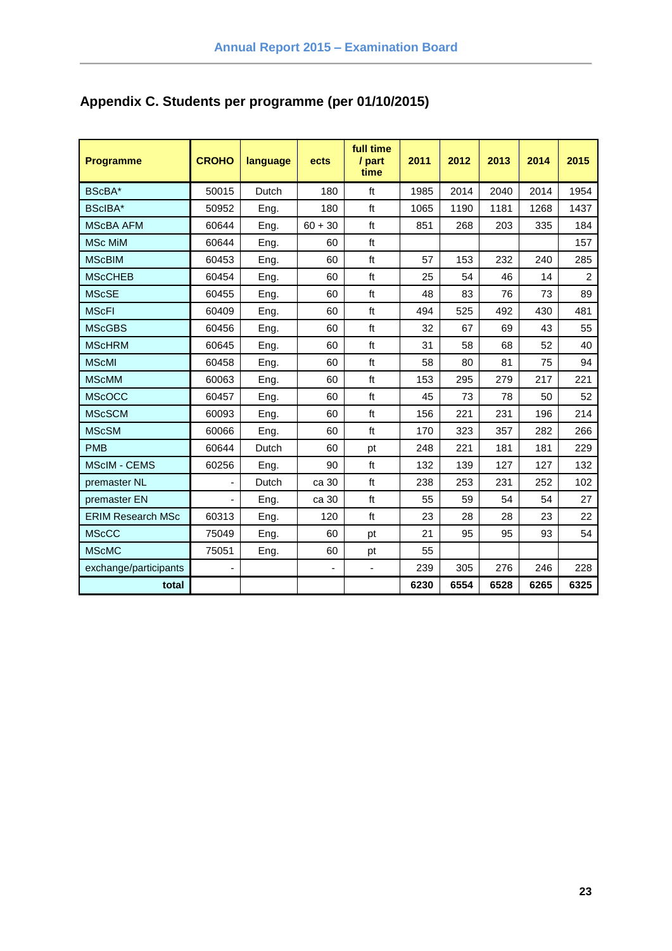| <b>Programme</b>         | <b>CROHO</b>             | language | ects                     | full time<br>/ part<br>time | 2011 | 2012 | 2013 | 2014 | 2015           |
|--------------------------|--------------------------|----------|--------------------------|-----------------------------|------|------|------|------|----------------|
| BScBA*                   | 50015                    | Dutch    | 180                      | ft                          | 1985 | 2014 | 2040 | 2014 | 1954           |
| BScIBA*                  | 50952                    | Eng.     | 180                      | ft                          | 1065 | 1190 | 1181 | 1268 | 1437           |
| <b>MScBA AFM</b>         | 60644                    | Eng.     | $60 + 30$                | ft                          | 851  | 268  | 203  | 335  | 184            |
| <b>MSc MiM</b>           | 60644                    | Eng.     | 60                       | ft                          |      |      |      |      | 157            |
| <b>MScBIM</b>            | 60453                    | Eng.     | 60                       | ft                          | 57   | 153  | 232  | 240  | 285            |
| <b>MScCHEB</b>           | 60454                    | Eng.     | 60                       | ft                          | 25   | 54   | 46   | 14   | $\overline{2}$ |
| <b>MScSE</b>             | 60455                    | Eng.     | 60                       | ft                          | 48   | 83   | 76   | 73   | 89             |
| <b>MScFI</b>             | 60409                    | Eng.     | 60                       | ft                          | 494  | 525  | 492  | 430  | 481            |
| <b>MScGBS</b>            | 60456                    | Eng.     | 60                       | ft                          | 32   | 67   | 69   | 43   | 55             |
| <b>MScHRM</b>            | 60645                    | Eng.     | 60                       | ft                          | 31   | 58   | 68   | 52   | 40             |
| <b>MScMI</b>             | 60458                    | Eng.     | 60                       | ft                          | 58   | 80   | 81   | 75   | 94             |
| <b>MScMM</b>             | 60063                    | Eng.     | 60                       | ft                          | 153  | 295  | 279  | 217  | 221            |
| <b>MScOCC</b>            | 60457                    | Eng.     | 60                       | ft                          | 45   | 73   | 78   | 50   | 52             |
| <b>MScSCM</b>            | 60093                    | Eng.     | 60                       | ft                          | 156  | 221  | 231  | 196  | 214            |
| <b>MScSM</b>             | 60066                    | Eng.     | 60                       | ft                          | 170  | 323  | 357  | 282  | 266            |
| <b>PMB</b>               | 60644                    | Dutch    | 60                       | pt                          | 248  | 221  | 181  | 181  | 229            |
| <b>MScIM - CEMS</b>      | 60256                    | Eng.     | 90                       | ft                          | 132  | 139  | 127  | 127  | 132            |
| premaster NL             | $\overline{\phantom{0}}$ | Dutch    | ca 30                    | ft                          | 238  | 253  | 231  | 252  | 102            |
| premaster EN             | ÷,                       | Eng.     | ca 30                    | ft                          | 55   | 59   | 54   | 54   | 27             |
| <b>ERIM Research MSc</b> | 60313                    | Eng.     | 120                      | ft                          | 23   | 28   | 28   | 23   | 22             |
| <b>MScCC</b>             | 75049                    | Eng.     | 60                       | pt                          | 21   | 95   | 95   | 93   | 54             |
| <b>MScMC</b>             | 75051                    | Eng.     | 60                       | pt                          | 55   |      |      |      |                |
| exchange/participants    | $\overline{\phantom{0}}$ |          | $\overline{\phantom{a}}$ | $\blacksquare$              | 239  | 305  | 276  | 246  | 228            |
| total                    |                          |          |                          |                             | 6230 | 6554 | 6528 | 6265 | 6325           |

# <span id="page-22-0"></span>**Appendix C. Students per programme (per 01/10/2015)**